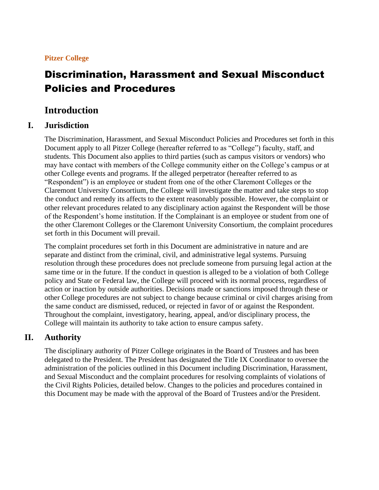# **Pitzer College**

# Discrimination, Harassment and Sexual Misconduct Policies and Procedures

# **Introduction**

# **I. Jurisdiction**

The Discrimination, Harassment, and Sexual Misconduct Policies and Procedures set forth in this Document apply to all Pitzer College (hereafter referred to as "College") faculty, staff, and students. This Document also applies to third parties (such as campus visitors or vendors) who may have contact with members of the College community either on the College's campus or at other College events and programs. If the alleged perpetrator (hereafter referred to as "Respondent") is an employee or student from one of the other Claremont Colleges or the Claremont University Consortium, the College will investigate the matter and take steps to stop the conduct and remedy its affects to the extent reasonably possible. However, the complaint or other relevant procedures related to any disciplinary action against the Respondent will be those of the Respondent's home institution. If the Complainant is an employee or student from one of the other Claremont Colleges or the Claremont University Consortium, the complaint procedures set forth in this Document will prevail.

The complaint procedures set forth in this Document are administrative in nature and are separate and distinct from the criminal, civil, and administrative legal systems. Pursuing resolution through these procedures does not preclude someone from pursuing legal action at the same time or in the future. If the conduct in question is alleged to be a violation of both College policy and State or Federal law, the College will proceed with its normal process, regardless of action or inaction by outside authorities. Decisions made or sanctions imposed through these or other College procedures are not subject to change because criminal or civil charges arising from the same conduct are dismissed, reduced, or rejected in favor of or against the Respondent. Throughout the complaint, investigatory, hearing, appeal, and/or disciplinary process, the College will maintain its authority to take action to ensure campus safety.

# **II. Authority**

The disciplinary authority of Pitzer College originates in the Board of Trustees and has been delegated to the President. The President has designated the Title IX Coordinator to oversee the administration of the policies outlined in this Document including Discrimination, Harassment, and Sexual Misconduct and the complaint procedures for resolving complaints of violations of the Civil Rights Policies, detailed below. Changes to the policies and procedures contained in this Document may be made with the approval of the Board of Trustees and/or the President.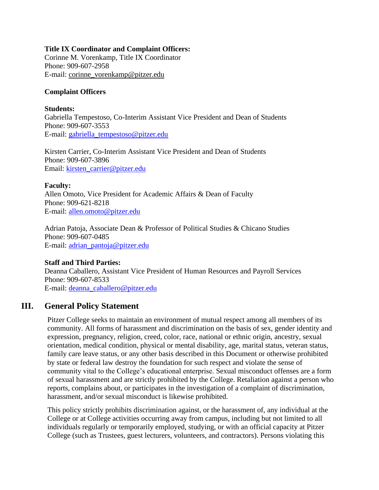### **Title IX Coordinator and Complaint Officers:**

Corinne M. Vorenkamp, Title IX Coordinator Phone: 909-607-2958 E-mail: [corinne\\_vorenkamp@pitzer.edu](mailto:corinne_vorenkamp@pitzer.edu)

## **Complaint Officers**

### **Students:**

Gabriella Tempestoso, Co-Interim Assistant Vice President and Dean of Students Phone: 909-607-3553 E-mail: [gabriella\\_tempestoso@pitzer.edu](mailto:gabriella_tempestoso@pitzer.edu)

Kirsten Carrier, Co-Interim Assistant Vice President and Dean of Students Phone: 909-607-3896 Email: [kirsten\\_carrier@pitzer.edu](mailto:kirsten_carrier@pitzer.edu)

## **Faculty:**

Allen Omoto, Vice President for Academic Affairs & Dean of Faculty Phone: 909-621-8218 E-mail: [allen.omoto@pitzer.edu](mailto:allen.omoto@pitzer.edu)

Adrian Patoja, Associate Dean & Professor of Political Studies & Chicano Studies Phone: 909-607-0485 E-mail: [adrian\\_pantoja@pitzer.edu](mailto:adrian_pantoja@pitzer.edu)

## **Staff and Third Parties:**

Deanna Caballero, Assistant Vice President of Human Resources and Payroll Services Phone: 909-607-8533 E-mail: [deanna\\_caballero@pitzer.edu](mailto:deanna_caballero@pitzer.edu)

# **III. General Policy Statement**

Pitzer College seeks to maintain an environment of mutual respect among all members of its community. All forms of harassment and discrimination on the basis of sex, gender identity and expression, pregnancy, religion, creed, color, race, national or ethnic origin, ancestry, sexual orientation, medical condition, physical or mental disability, age, marital status, veteran status, family care leave status, or any other basis described in this Document or otherwise prohibited by state or federal law destroy the foundation for such respect and violate the sense of community vital to the College's educational enterprise. Sexual misconduct offenses are a form of sexual harassment and are strictly prohibited by the College. Retaliation against a person who reports, complains about, or participates in the investigation of a complaint of discrimination, harassment, and/or sexual misconduct is likewise prohibited.

This policy strictly prohibits discrimination against, or the harassment of, any individual at the College or at College activities occurring away from campus, including but not limited to all individuals regularly or temporarily employed, studying, or with an official capacity at Pitzer College (such as Trustees, guest lecturers, volunteers, and contractors). Persons violating this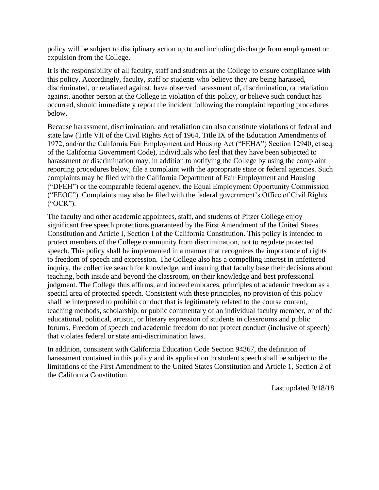policy will be subject to disciplinary action up to and including discharge from employment or expulsion from the College.

It is the responsibility of all faculty, staff and students at the College to ensure compliance with this policy. Accordingly, faculty, staff or students who believe they are being harassed, discriminated, or retaliated against, have observed harassment of, discrimination, or retaliation against, another person at the College in violation of this policy, or believe such conduct has occurred, should immediately report the incident following the complaint reporting procedures below.

Because harassment, discrimination, and retaliation can also constitute violations of federal and state law (Title VII of the Civil Rights Act of 1964, Title IX of the Education Amendments of 1972, and/or the California Fair Employment and Housing Act ("FEHA") Section 12940, et seq. of the California Government Code), individuals who feel that they have been subjected to harassment or discrimination may, in addition to notifying the College by using the complaint reporting procedures below, file a complaint with the appropriate state or federal agencies. Such complaints may be filed with the California Department of Fair Employment and Housing ("DFEH") or the comparable federal agency, the Equal Employment Opportunity Commission ("EEOC"). Complaints may also be filed with the federal government's Office of Civil Rights ("OCR").

The faculty and other academic appointees, staff, and students of Pitzer College enjoy significant free speech protections guaranteed by the First Amendment of the United States Constitution and Article I, Section I of the California Constitution. This policy is intended to protect members of the College community from discrimination, not to regulate protected speech. This policy shall be implemented in a manner that recognizes the importance of rights to freedom of speech and expression. The College also has a compelling interest in unfettered inquiry, the collective search for knowledge, and insuring that faculty base their decisions about teaching, both inside and beyond the classroom, on their knowledge and best professional judgment. The College thus affirms, and indeed embraces, principles of academic freedom as a special area of protected speech. Consistent with these principles, no provision of this policy shall be interpreted to prohibit conduct that is legitimately related to the course content, teaching methods, scholarship, or public commentary of an individual faculty member, or of the educational, political, artistic, or literary expression of students in classrooms and public forums. Freedom of speech and academic freedom do not protect conduct (inclusive of speech) that violates federal or state anti-discrimination laws.

In addition, consistent with California Education Code Section 94367, the definition of harassment contained in this policy and its application to student speech shall be subject to the limitations of the First Amendment to the United States Constitution and Article 1, Section 2 of the California Constitution.

Last updated 9/18/18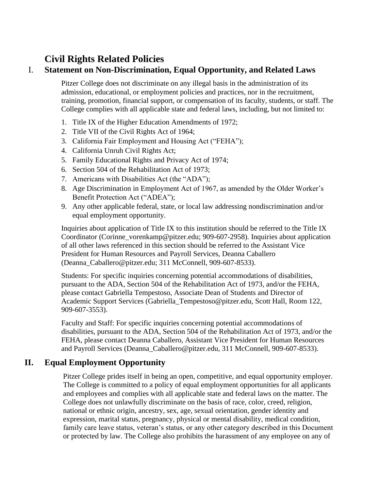# **Civil Rights Related Policies**

# I. **Statement on Non-Discrimination, Equal Opportunity, and Related Laws**

Pitzer College does not discriminate on any illegal basis in the administration of its admission, educational, or employment policies and practices, nor in the recruitment, training, promotion, financial support, or compensation of its faculty, students, or staff. The College complies with all applicable state and federal laws, including, but not limited to:

- 1. Title IX of the Higher Education Amendments of 1972;
- 2. Title VII of the Civil Rights Act of 1964;
- 3. California Fair Employment and Housing Act ("FEHA");
- 4. California Unruh Civil Rights Act;
- 5. Family Educational Rights and Privacy Act of 1974;
- 6. Section 504 of the Rehabilitation Act of 1973;
- 7. Americans with Disabilities Act (the "ADA");
- 8. Age Discrimination in Employment Act of 1967, as amended by the Older Worker's Benefit Protection Act ("ADEA");
- 9. Any other applicable federal, state, or local law addressing nondiscrimination and/or equal employment opportunity.

Inquiries about application of Title IX to this institution should be referred to the Title IX Coordinator (Corinne\_vorenkamp@pitzer.edu; 909-607-2958). Inquiries about application of all other laws referenced in this section should be referred to the Assistant Vice President for Human Resources and Payroll Services, Deanna Caballero (Deanna\_Caballero@pitzer.edu; 311 McConnell, 909-607-8533).

Students: For specific inquiries concerning potential accommodations of disabilities, pursuant to the ADA, Section 504 of the Rehabilitation Act of 1973, and/or the FEHA, please contact Gabriella Tempestoso, Associate Dean of Students and Director of Academic Support Services (Gabriella\_Tempestoso@pitzer.edu, Scott Hall, Room 122, 909-607-3553).

Faculty and Staff: For specific inquiries concerning potential accommodations of disabilities, pursuant to the ADA, Section 504 of the Rehabilitation Act of 1973, and/or the FEHA, please contact Deanna Caballero, Assistant Vice President for Human Resources and Payroll Services (Deanna\_Caballero@pitzer.edu, 311 McConnell, 909-607-8533).

# **II. Equal Employment Opportunity**

Pitzer College prides itself in being an open, competitive, and equal opportunity employer. The College is committed to a policy of equal employment opportunities for all applicants and employees and complies with all applicable state and federal laws on the matter. The College does not unlawfully discriminate on the basis of race, color, creed, religion, national or ethnic origin, ancestry, sex, age, sexual orientation, gender identity and expression, marital status, pregnancy, physical or mental disability, medical condition, family care leave status, veteran's status, or any other category described in this Document or protected by law. The College also prohibits the harassment of any employee on any of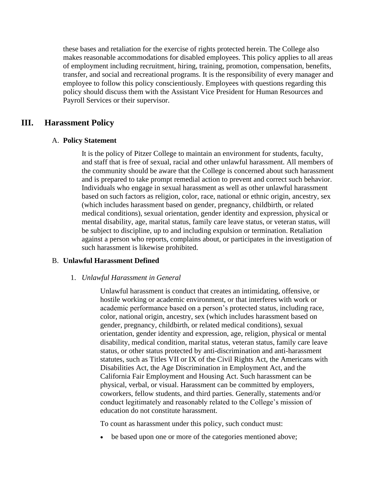these bases and retaliation for the exercise of rights protected herein. The College also makes reasonable accommodations for disabled employees. This policy applies to all areas of employment including recruitment, hiring, training, promotion, compensation, benefits, transfer, and social and recreational programs. It is the responsibility of every manager and employee to follow this policy conscientiously. Employees with questions regarding this policy should discuss them with the Assistant Vice President for Human Resources and Payroll Services or their supervisor.

# **III. Harassment Policy**

## A. **Policy Statement**

It is the policy of Pitzer College to maintain an environment for students, faculty, and staff that is free of sexual, racial and other unlawful harassment. All members of the community should be aware that the College is concerned about such harassment and is prepared to take prompt remedial action to prevent and correct such behavior. Individuals who engage in sexual harassment as well as other unlawful harassment based on such factors as religion, color, race, national or ethnic origin, ancestry, sex (which includes harassment based on gender, pregnancy, childbirth, or related medical conditions), sexual orientation, gender identity and expression, physical or mental disability, age, marital status, family care leave status, or veteran status, will be subject to discipline, up to and including expulsion or termination. Retaliation against a person who reports, complains about, or participates in the investigation of such harassment is likewise prohibited.

## B. **Unlawful Harassment Defined**

## 1. *Unlawful Harassment in General*

Unlawful harassment is conduct that creates an intimidating, offensive, or hostile working or academic environment, or that interferes with work or academic performance based on a person's protected status, including race, color, national origin, ancestry, sex (which includes harassment based on gender, pregnancy, childbirth, or related medical conditions), sexual orientation, gender identity and expression, age, religion, physical or mental disability, medical condition, marital status, veteran status, family care leave status, or other status protected by anti-discrimination and anti-harassment statutes, such as Titles VII or IX of the Civil Rights Act, the Americans with Disabilities Act, the Age Discrimination in Employment Act, and the California Fair Employment and Housing Act. Such harassment can be physical, verbal, or visual. Harassment can be committed by employers, coworkers, fellow students, and third parties. Generally, statements and/or conduct legitimately and reasonably related to the College's mission of education do not constitute harassment.

To count as harassment under this policy, such conduct must:

• be based upon one or more of the categories mentioned above;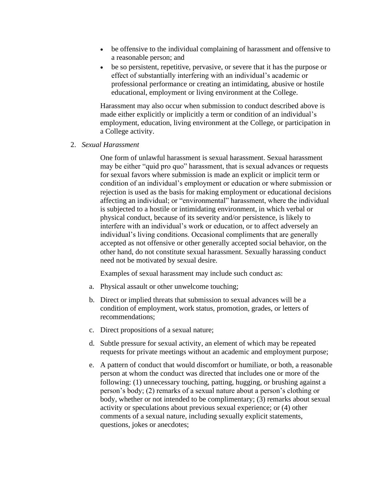- be offensive to the individual complaining of harassment and offensive to a reasonable person; and
- be so persistent, repetitive, pervasive, or severe that it has the purpose or effect of substantially interfering with an individual's academic or professional performance or creating an intimidating, abusive or hostile educational, employment or living environment at the College.

Harassment may also occur when submission to conduct described above is made either explicitly or implicitly a term or condition of an individual's employment, education, living environment at the College, or participation in a College activity.

2. *Sexual Harassment*

One form of unlawful harassment is sexual harassment. Sexual harassment may be either "quid pro quo" harassment, that is sexual advances or requests for sexual favors where submission is made an explicit or implicit term or condition of an individual's employment or education or where submission or rejection is used as the basis for making employment or educational decisions affecting an individual; or "environmental" harassment, where the individual is subjected to a hostile or intimidating environment, in which verbal or physical conduct, because of its severity and/or persistence, is likely to interfere with an individual's work or education, or to affect adversely an individual's living conditions. Occasional compliments that are generally accepted as not offensive or other generally accepted social behavior, on the other hand, do not constitute sexual harassment. Sexually harassing conduct need not be motivated by sexual desire.

Examples of sexual harassment may include such conduct as:

- a. Physical assault or other unwelcome touching;
- b. Direct or implied threats that submission to sexual advances will be a condition of employment, work status, promotion, grades, or letters of recommendations;
- c. Direct propositions of a sexual nature;
- d. Subtle pressure for sexual activity, an element of which may be repeated requests for private meetings without an academic and employment purpose;
- e. A pattern of conduct that would discomfort or humiliate, or both, a reasonable person at whom the conduct was directed that includes one or more of the following: (1) unnecessary touching, patting, hugging, or brushing against a person's body; (2) remarks of a sexual nature about a person's clothing or body, whether or not intended to be complimentary; (3) remarks about sexual activity or speculations about previous sexual experience; or (4) other comments of a sexual nature, including sexually explicit statements, questions, jokes or anecdotes;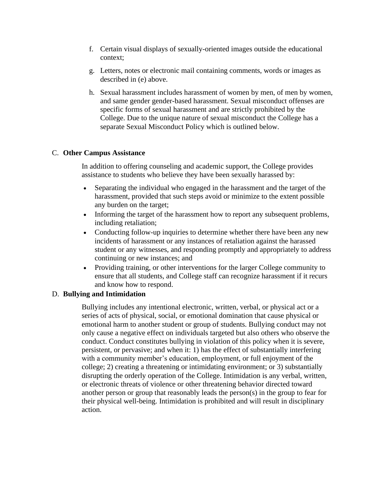- f. Certain visual displays of sexually-oriented images outside the educational context;
- g. Letters, notes or electronic mail containing comments, words or images as described in (e) above.
- h. Sexual harassment includes harassment of women by men, of men by women, and same gender gender-based harassment. Sexual misconduct offenses are specific forms of sexual harassment and are strictly prohibited by the College. Due to the unique nature of sexual misconduct the College has a separate Sexual Misconduct Policy which is outlined below.

# C. **Other Campus Assistance**

In addition to offering counseling and academic support, the College provides assistance to students who believe they have been sexually harassed by:

- Separating the individual who engaged in the harassment and the target of the harassment, provided that such steps avoid or minimize to the extent possible any burden on the target;
- Informing the target of the harassment how to report any subsequent problems, including retaliation;
- Conducting follow-up inquiries to determine whether there have been any new incidents of harassment or any instances of retaliation against the harassed student or any witnesses, and responding promptly and appropriately to address continuing or new instances; and
- Providing training, or other interventions for the larger College community to ensure that all students, and College staff can recognize harassment if it recurs and know how to respond.

# D. **Bullying and Intimidation**

Bullying includes any intentional electronic, written, verbal, or physical act or a series of acts of physical, social, or emotional domination that cause physical or emotional harm to another student or group of students. Bullying conduct may not only cause a negative effect on individuals targeted but also others who observe the conduct. Conduct constitutes bullying in violation of this policy when it is severe, persistent, or pervasive; and when it: 1) has the effect of substantially interfering with a community member's education, employment, or full enjoyment of the college; 2) creating a threatening or intimidating environment; or 3) substantially disrupting the orderly operation of the College. Intimidation is any verbal, written, or electronic threats of violence or other threatening behavior directed toward another person or group that reasonably leads the person(s) in the group to fear for their physical well-being. Intimidation is prohibited and will result in disciplinary action.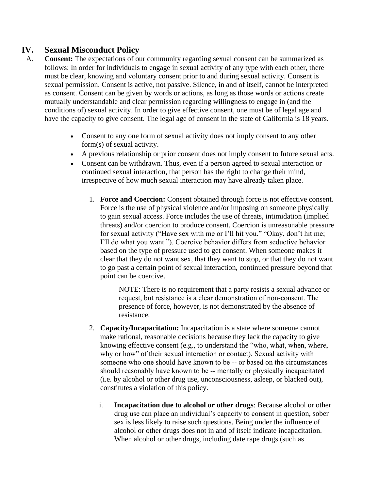# **IV. Sexual Misconduct Policy**

- A. **Consent:** The expectations of our community regarding sexual consent can be summarized as follows: In order for individuals to engage in sexual activity of any type with each other, there must be clear, knowing and voluntary consent prior to and during sexual activity. Consent is sexual permission. Consent is active, not passive. Silence, in and of itself, cannot be interpreted as consent. Consent can be given by words or actions, as long as those words or actions create mutually understandable and clear permission regarding willingness to engage in (and the conditions of) sexual activity. In order to give effective consent, one must be of legal age and have the capacity to give consent. The legal age of consent in the state of California is 18 years.
	- Consent to any one form of sexual activity does not imply consent to any other form(s) of sexual activity.
	- A previous relationship or prior consent does not imply consent to future sexual acts.
	- Consent can be withdrawn. Thus, even if a person agreed to sexual interaction or continued sexual interaction, that person has the right to change their mind, irrespective of how much sexual interaction may have already taken place.
		- 1. **Force and Coercion:** Consent obtained through force is not effective consent. Force is the use of physical violence and/or imposing on someone physically to gain sexual access. Force includes the use of threats, intimidation (implied threats) and/or coercion to produce consent. Coercion is unreasonable pressure for sexual activity ("Have sex with me or I'll hit you." "Okay, don't hit me; I'll do what you want."). Coercive behavior differs from seductive behavior based on the type of pressure used to get consent. When someone makes it clear that they do not want sex, that they want to stop, or that they do not want to go past a certain point of sexual interaction, continued pressure beyond that point can be coercive.

NOTE: There is no requirement that a party resists a sexual advance or request, but resistance is a clear demonstration of non‐consent. The presence of force, however, is not demonstrated by the absence of resistance.

- 2. **Capacity/Incapacitation:** Incapacitation is a state where someone cannot make rational, reasonable decisions because they lack the capacity to give knowing effective consent (e.g., to understand the "who, what, when, where, why or how" of their sexual interaction or contact). Sexual activity with someone who one should have known to be -- or based on the circumstances should reasonably have known to be ‐‐ mentally or physically incapacitated (i.e. by alcohol or other drug use, unconsciousness, asleep, or blacked out), constitutes a violation of this policy.
	- i. **Incapacitation due to alcohol or other drugs**: Because alcohol or other drug use can place an individual's capacity to consent in question, sober sex is less likely to raise such questions. Being under the influence of alcohol or other drugs does not in and of itself indicate incapacitation. When alcohol or other drugs, including date rape drugs (such as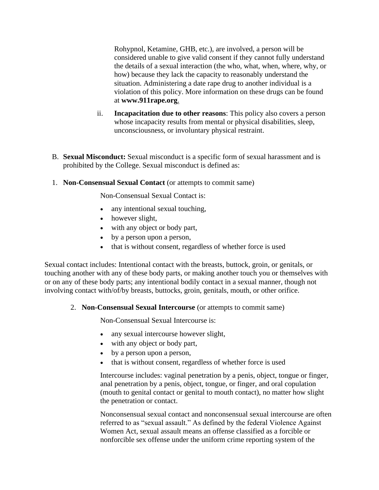Rohypnol, Ketamine, GHB, etc.), are involved, a person will be considered unable to give valid consent if they cannot fully understand the details of a sexual interaction (the who, what, when, where, why, or how) because they lack the capacity to reasonably understand the situation. Administering a date rape drug to another individual is a violation of this policy. More information on these drugs can be found at **[www.911rape.org](http://www.911rape.org/)**.

- ii. **Incapacitation due to other reasons**: This policy also covers a person whose incapacity results from mental or physical disabilities, sleep, unconsciousness, or involuntary physical restraint.
- B. **Sexual Misconduct:** Sexual misconduct is a specific form of sexual harassment and is prohibited by the College. Sexual misconduct is defined as:
- 1. **Non-Consensual Sexual Contact** (or attempts to commit same)

Non-Consensual Sexual Contact is:

- any intentional sexual touching,
- however slight,
- with any object or body part,
- by a person upon a person,
- that is without consent, regardless of whether force is used

Sexual contact includes: Intentional contact with the breasts, buttock, groin, or genitals, or touching another with any of these body parts, or making another touch you or themselves with or on any of these body parts; any intentional bodily contact in a sexual manner, though not involving contact with/of/by breasts, buttocks, groin, genitals, mouth, or other orifice.

## 2. **Non-Consensual Sexual Intercourse** (or attempts to commit same)

Non-Consensual Sexual Intercourse is:

- any sexual intercourse however slight,
- with any object or body part,
- by a person upon a person,
- that is without consent, regardless of whether force is used

Intercourse includes: vaginal penetration by a penis, object, tongue or finger, anal penetration by a penis, object, tongue, or finger, and oral copulation (mouth to genital contact or genital to mouth contact), no matter how slight the penetration or contact.

Nonconsensual sexual contact and nonconsensual sexual intercourse are often referred to as "sexual assault." As defined by the federal Violence Against Women Act, sexual assault means an offense classified as a forcible or nonforcible sex offense under the uniform crime reporting system of the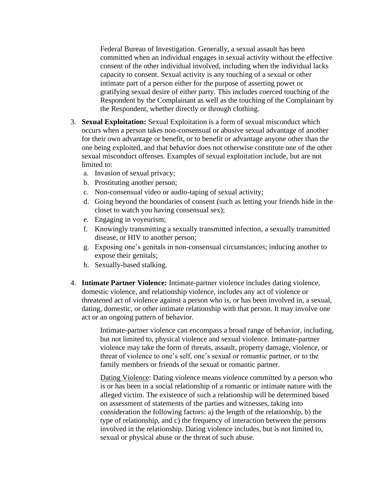Federal Bureau of Investigation. Generally, a sexual assault has been committed when an individual engages in sexual activity without the effective consent of the other individual involved, including when the individual lacks capacity to consent. Sexual activity is any touching of a sexual or other intimate part of a person either for the purpose of asserting power or gratifying sexual desire of either party. This includes coerced touching of the Respondent by the Complainant as well as the touching of the Complainant by the Respondent, whether directly or through clothing.

- 3. **Sexual Exploitation:** Sexual Exploitation is a form of sexual misconduct which occurs when a person takes non-consensual or abusive sexual advantage of another for their own advantage or benefit, or to benefit or advantage anyone other than the one being exploited, and that behavior does not otherwise constitute one of the other sexual misconduct offenses. Examples of sexual exploitation include, but are not limited to:
	- a. Invasion of sexual privacy;
	- b. Prostituting another person;
	- c. Non-consensual video or audio-taping of sexual activity;
	- d. Going beyond the boundaries of consent (such as letting your friends hide in the closet to watch you having consensual sex);
	- e. Engaging in voyeurism;
	- f. Knowingly transmitting a sexually transmitted infection, a sexually transmitted disease, or HIV to another person;
	- g. Exposing one's genitals in non-consensual circumstances; inducing another to expose their genitals;
	- h. Sexually-based stalking.
- 4. **Intimate Partner Violence:** Intimate-partner violence includes dating violence, domestic violence, and relationship violence, includes any act of violence or threatened act of violence against a person who is, or has been involved in, a sexual, dating, domestic, or other intimate relationship with that person. It may involve one act or an ongoing pattern of behavior.

Intimate-partner violence can encompass a broad range of behavior, including, but not limited to, physical violence and sexual violence. Intimate-partner violence may take the form of threats, assault, property damage, violence, or threat of violence to one's self, one's sexual or romantic partner, or to the family members or friends of the sexual or romantic partner.

Dating Violence: Dating violence means violence committed by a person who is or has been in a social relationship of a romantic or intimate nature with the alleged victim. The existence of such a relationship will be determined based on assessment of statements of the parties and witnesses, taking into consideration the following factors: a) the length of the relationship, b) the type of relationship, and c) the frequency of interaction between the persons involved in the relationship. Dating violence includes, but is not limited to, sexual or physical abuse or the threat of such abuse.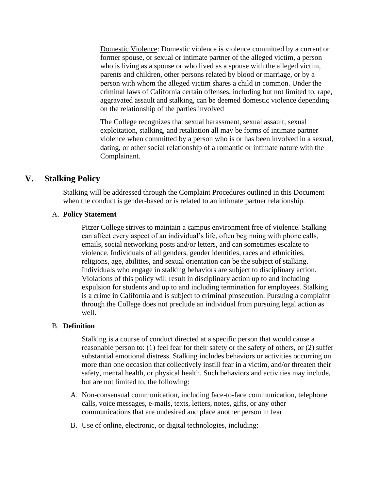Domestic Violence: Domestic violence is violence committed by a current or former spouse, or sexual or intimate partner of the alleged victim, a person who is living as a spouse or who lived as a spouse with the alleged victim, parents and children, other persons related by blood or marriage, or by a person with whom the alleged victim shares a child in common. Under the criminal laws of California certain offenses, including but not limited to, rape, aggravated assault and stalking, can be deemed domestic violence depending on the relationship of the parties involved

The College recognizes that sexual harassment, sexual assault, sexual exploitation, stalking, and retaliation all may be forms of intimate partner violence when committed by a person who is or has been involved in a sexual, dating, or other social relationship of a romantic or intimate nature with the Complainant.

# **V. Stalking Policy**

Stalking will be addressed through the Complaint Procedures outlined in this Document when the conduct is gender-based or is related to an intimate partner relationship.

## A. **Policy Statement**

Pitzer College strives to maintain a campus environment free of violence. Stalking can affect every aspect of an individual's life, often beginning with phone calls, emails, social networking posts and/or letters, and can sometimes escalate to violence. Individuals of all genders, gender identities, races and ethnicities, religions, age, abilities, and sexual orientation can be the subject of stalking. Individuals who engage in stalking behaviors are subject to disciplinary action. Violations of this policy will result in disciplinary action up to and including expulsion for students and up to and including termination for employees. Stalking is a crime in California and is subject to criminal prosecution. Pursuing a complaint through the College does not preclude an individual from pursuing legal action as well.

## B. **Definition**

Stalking is a course of conduct directed at a specific person that would cause a reasonable person to: (1) feel fear for their safety or the safety of others, or (2) suffer substantial emotional distress. Stalking includes behaviors or activities occurring on more than one occasion that collectively instill fear in a victim, and/or threaten their safety, mental health, or physical health. Such behaviors and activities may include, but are not limited to, the following:

- A. Non-consensual communication, including face-to-face communication, telephone calls, voice messages, e-mails, texts, letters, notes, gifts, or any other communications that are undesired and place another person in fear
- B. Use of online, electronic, or digital technologies, including: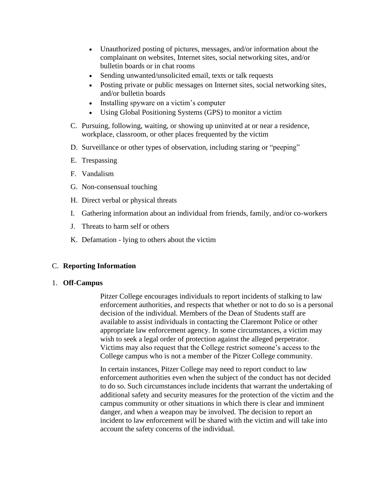- Unauthorized posting of pictures, messages, and/or information about the complainant on websites, Internet sites, social networking sites, and/or bulletin boards or in chat rooms
- Sending unwanted/unsolicited email, texts or talk requests
- Posting private or public messages on Internet sites, social networking sites, and/or bulletin boards
- Installing spyware on a victim's computer
- Using Global Positioning Systems (GPS) to monitor a victim
- C. Pursuing, following, waiting, or showing up uninvited at or near a residence, workplace, classroom, or other places frequented by the victim
- D. Surveillance or other types of observation, including staring or "peeping"
- E. Trespassing
- F. Vandalism
- G. Non-consensual touching
- H. Direct verbal or physical threats
- I. Gathering information about an individual from friends, family, and/or co-workers
- J. Threats to harm self or others
- K. Defamation lying to others about the victim

## C. **Reporting Information**

## 1. **Off-Campus**

Pitzer College encourages individuals to report incidents of stalking to law enforcement authorities, and respects that whether or not to do so is a personal decision of the individual. Members of the Dean of Students staff are available to assist individuals in contacting the Claremont Police or other appropriate law enforcement agency. In some circumstances, a victim may wish to seek a legal order of protection against the alleged perpetrator. Victims may also request that the College restrict someone's access to the College campus who is not a member of the Pitzer College community.

In certain instances, Pitzer College may need to report conduct to law enforcement authorities even when the subject of the conduct has not decided to do so. Such circumstances include incidents that warrant the undertaking of additional safety and security measures for the protection of the victim and the campus community or other situations in which there is clear and imminent danger, and when a weapon may be involved. The decision to report an incident to law enforcement will be shared with the victim and will take into account the safety concerns of the individual.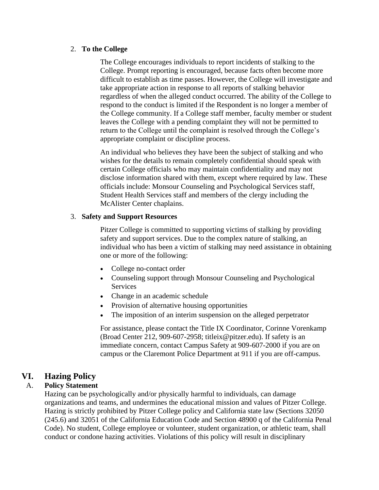## 2. **To the College**

The College encourages individuals to report incidents of stalking to the College. Prompt reporting is encouraged, because facts often become more difficult to establish as time passes. However, the College will investigate and take appropriate action in response to all reports of stalking behavior regardless of when the alleged conduct occurred. The ability of the College to respond to the conduct is limited if the Respondent is no longer a member of the College community. If a College staff member, faculty member or student leaves the College with a pending complaint they will not be permitted to return to the College until the complaint is resolved through the College's appropriate complaint or discipline process.

An individual who believes they have been the subject of stalking and who wishes for the details to remain completely confidential should speak with certain College officials who may maintain confidentiality and may not disclose information shared with them, except where required by law. These officials include: Monsour Counseling and Psychological Services staff, Student Health Services staff and members of the clergy including the McAlister Center chaplains.

# 3. **Safety and Support Resources**

Pitzer College is committed to supporting victims of stalking by providing safety and support services. Due to the complex nature of stalking, an individual who has been a victim of stalking may need assistance in obtaining one or more of the following:

- College no-contact order
- Counseling support through Monsour Counseling and Psychological **Services**
- Change in an academic schedule
- Provision of alternative housing opportunities
- The imposition of an interim suspension on the alleged perpetrator

For assistance, please contact the Title IX Coordinator, Corinne Vorenkamp (Broad Center 212, 909-607-2958; titleix@pitzer.edu). If safety is an immediate concern, contact Campus Safety at 909-607-2000 if you are on campus or the Claremont Police Department at 911 if you are off-campus.

# **VI. Hazing Policy**

# A. **Policy Statement**

Hazing can be psychologically and/or physically harmful to individuals, can damage organizations and teams, and undermines the educational mission and values of Pitzer College. Hazing is strictly prohibited by Pitzer College policy and California state law (Sections 32050 (245.6) and 32051 of the California Education Code and Section 48900 q of the California Penal Code). No student, College employee or volunteer, student organization, or athletic team, shall conduct or condone hazing activities. Violations of this policy will result in disciplinary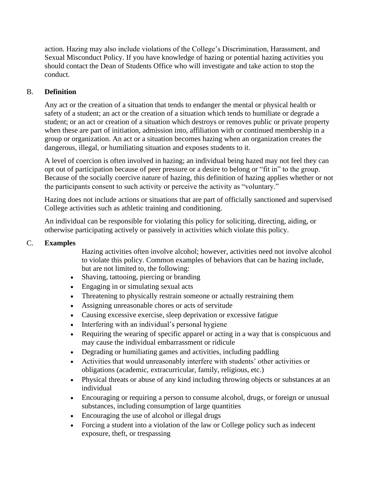action. Hazing may also include violations of the College's Discrimination, Harassment, and Sexual Misconduct Policy. If you have knowledge of hazing or potential hazing activities you should contact the Dean of Students Office who will investigate and take action to stop the conduct.

# B. **Definition**

Any act or the creation of a situation that tends to endanger the mental or physical health or safety of a student; an act or the creation of a situation which tends to humiliate or degrade a student; or an act or creation of a situation which destroys or removes public or private property when these are part of initiation, admission into, affiliation with or continued membership in a group or organization. An act or a situation becomes hazing when an organization creates the dangerous, illegal, or humiliating situation and exposes students to it.

A level of coercion is often involved in hazing; an individual being hazed may not feel they can opt out of participation because of peer pressure or a desire to belong or "fit in" to the group. Because of the socially coercive nature of hazing, this definition of hazing applies whether or not the participants consent to such activity or perceive the activity as "voluntary."

Hazing does not include actions or situations that are part of officially sanctioned and supervised College activities such as athletic training and conditioning.

An individual can be responsible for violating this policy for soliciting, directing, aiding, or otherwise participating actively or passively in activities which violate this policy.

# C. **Examples**

Hazing activities often involve alcohol; however, activities need not involve alcohol to violate this policy. Common examples of behaviors that can be hazing include, but are not limited to, the following:

- Shaving, tattooing, piercing or branding
- Engaging in or simulating sexual acts
- Threatening to physically restrain someone or actually restraining them
- Assigning unreasonable chores or acts of servitude
- Causing excessive exercise, sleep deprivation or excessive fatigue
- Interfering with an individual's personal hygiene
- Requiring the wearing of specific apparel or acting in a way that is conspicuous and may cause the individual embarrassment or ridicule
- Degrading or humiliating games and activities, including paddling
- Activities that would unreasonably interfere with students' other activities or obligations (academic, extracurricular, family, religious, etc.)
- Physical threats or abuse of any kind including throwing objects or substances at an individual
- Encouraging or requiring a person to consume alcohol, drugs, or foreign or unusual substances, including consumption of large quantities
- Encouraging the use of alcohol or illegal drugs
- Forcing a student into a violation of the law or College policy such as indecent exposure, theft, or trespassing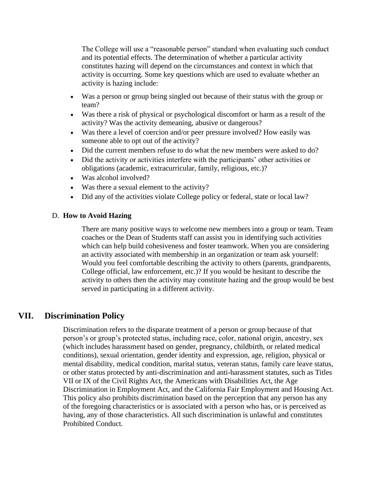The College will use a "reasonable person" standard when evaluating such conduct and its potential effects. The determination of whether a particular activity constitutes hazing will depend on the circumstances and context in which that activity is occurring. Some key questions which are used to evaluate whether an activity is hazing include:

- Was a person or group being singled out because of their status with the group or team?
- Was there a risk of physical or psychological discomfort or harm as a result of the activity? Was the activity demeaning, abusive or dangerous?
- Was there a level of coercion and/or peer pressure involved? How easily was someone able to opt out of the activity?
- Did the current members refuse to do what the new members were asked to do?
- Did the activity or activities interfere with the participants' other activities or obligations (academic, extracurricular, family, religious, etc.)?
- Was alcohol involved?
- Was there a sexual element to the activity?
- Did any of the activities violate College policy or federal, state or local law?

# D. **How to Avoid Hazing**

There are many positive ways to welcome new members into a group or team. Team coaches or the Dean of Students staff can assist you in identifying such activities which can help build cohesiveness and foster teamwork. When you are considering an activity associated with membership in an organization or team ask yourself: Would you feel comfortable describing the activity to others (parents, grandparents, College official, law enforcement, etc.)? If you would be hesitant to describe the activity to others then the activity may constitute hazing and the group would be best served in participating in a different activity.

# **VII. Discrimination Policy**

Discrimination refers to the disparate treatment of a person or group because of that person's or group's protected status, including race, color, national origin, ancestry, sex (which includes harassment based on gender, pregnancy, childbirth, or related medical conditions), sexual orientation, gender identity and expression, age, religion, physical or mental disability, medical condition, marital status, veteran status, family care leave status, or other status protected by anti-discrimination and anti-harassment statutes, such as Titles VII or IX of the Civil Rights Act, the Americans with Disabilities Act, the Age Discrimination in Employment Act, and the California Fair Employment and Housing Act. This policy also prohibits discrimination based on the perception that any person has any of the foregoing characteristics or is associated with a person who has, or is perceived as having, any of those characteristics. All such discrimination is unlawful and constitutes Prohibited Conduct.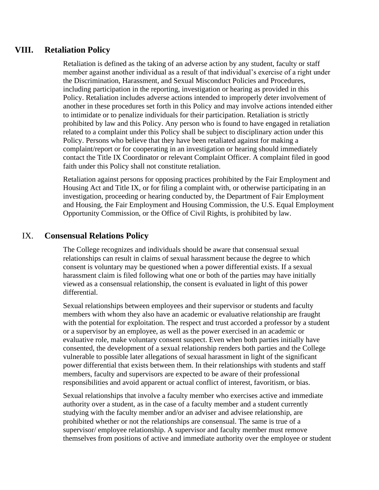# **VIII. Retaliation Policy**

Retaliation is defined as the taking of an adverse action by any student, faculty or staff member against another individual as a result of that individual's exercise of a right under the Discrimination, Harassment, and Sexual Misconduct Policies and Procedures, including participation in the reporting, investigation or hearing as provided in this Policy. Retaliation includes adverse actions intended to improperly deter involvement of another in these procedures set forth in this Policy and may involve actions intended either to intimidate or to penalize individuals for their participation. Retaliation is strictly prohibited by law and this Policy. Any person who is found to have engaged in retaliation related to a complaint under this Policy shall be subject to disciplinary action under this Policy. Persons who believe that they have been retaliated against for making a complaint/report or for cooperating in an investigation or hearing should immediately contact the Title IX Coordinator or relevant Complaint Officer. A complaint filed in good faith under this Policy shall not constitute retaliation.

Retaliation against persons for opposing practices prohibited by the Fair Employment and Housing Act and Title IX, or for filing a complaint with, or otherwise participating in an investigation, proceeding or hearing conducted by, the Department of Fair Employment and Housing, the Fair Employment and Housing Commission, the U.S. Equal Employment Opportunity Commission, or the Office of Civil Rights, is prohibited by law.

# IX. **Consensual Relations Policy**

The College recognizes and individuals should be aware that consensual sexual relationships can result in claims of sexual harassment because the degree to which consent is voluntary may be questioned when a power differential exists. If a sexual harassment claim is filed following what one or both of the parties may have initially viewed as a consensual relationship, the consent is evaluated in light of this power differential.

Sexual relationships between employees and their supervisor or students and faculty members with whom they also have an academic or evaluative relationship are fraught with the potential for exploitation. The respect and trust accorded a professor by a student or a supervisor by an employee, as well as the power exercised in an academic or evaluative role, make voluntary consent suspect. Even when both parties initially have consented, the development of a sexual relationship renders both parties and the College vulnerable to possible later allegations of sexual harassment in light of the significant power differential that exists between them. In their relationships with students and staff members, faculty and supervisors are expected to be aware of their professional responsibilities and avoid apparent or actual conflict of interest, favoritism, or bias.

Sexual relationships that involve a faculty member who exercises active and immediate authority over a student, as in the case of a faculty member and a student currently studying with the faculty member and/or an adviser and advisee relationship, are prohibited whether or not the relationships are consensual. The same is true of a supervisor/ employee relationship. A supervisor and faculty member must remove themselves from positions of active and immediate authority over the employee or student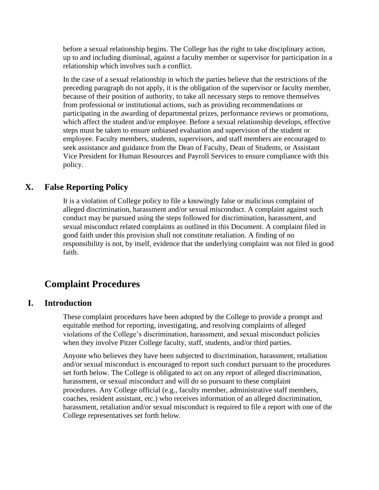before a sexual relationship begins. The College has the right to take disciplinary action, up to and including dismissal, against a faculty member or supervisor for participation in a relationship which involves such a conflict.

In the case of a sexual relationship in which the parties believe that the restrictions of the preceding paragraph do not apply, it is the obligation of the supervisor or faculty member, because of their position of authority, to take all necessary steps to remove themselves from professional or institutional actions, such as providing recommendations or participating in the awarding of departmental prizes, performance reviews or promotions, which affect the student and/or employee. Before a sexual relationship develops, effective steps must be taken to ensure unbiased evaluation and supervision of the student or employee. Faculty members, students, supervisors, and staff members are encouraged to seek assistance and guidance from the Dean of Faculty, Dean of Students, or Assistant Vice President for Human Resources and Payroll Services to ensure compliance with this policy.

# **X. False Reporting Policy**

It is a violation of College policy to file a knowingly false or malicious complaint of alleged discrimination, harassment and/or sexual misconduct. A complaint against such conduct may be pursued using the steps followed for discrimination, harassment, and sexual misconduct related complaints as outlined in this Document. A complaint filed in good faith under this provision shall not constitute retaliation. A finding of no responsibility is not, by itself, evidence that the underlying complaint was not filed in good faith.

# **Complaint Procedures**

# **I. Introduction**

These complaint procedures have been adopted by the College to provide a prompt and equitable method for reporting, investigating, and resolving complaints of alleged violations of the College's discrimination, harassment, and sexual misconduct policies when they involve Pitzer College faculty, staff, students, and/or third parties.

Anyone who believes they have been subjected to discrimination, harassment, retaliation and/or sexual misconduct is encouraged to report such conduct pursuant to the procedures set forth below. The College is obligated to act on any report of alleged discrimination, harassment, or sexual misconduct and will do so pursuant to these complaint procedures. Any College official (e.g., faculty member, administrative staff members, coaches, resident assistant, etc.) who receives information of an alleged discrimination, harassment, retaliation and/or sexual misconduct is required to file a report with one of the College representatives set forth below.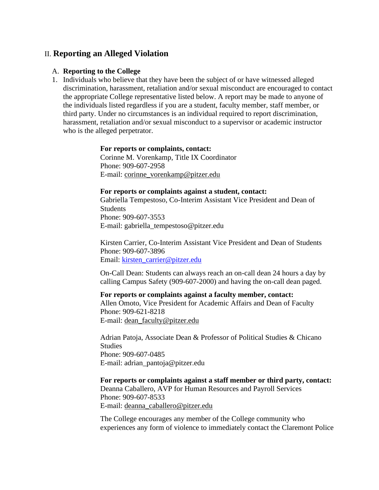# II. **Reporting an Alleged Violation**

#### A. **Reporting to the College**

1. Individuals who believe that they have been the subject of or have witnessed alleged discrimination, harassment, retaliation and/or sexual misconduct are encouraged to contact the appropriate College representative listed below. A report may be made to anyone of the individuals listed regardless if you are a student, faculty member, staff member, or third party. Under no circumstances is an individual required to report discrimination, harassment, retaliation and/or sexual misconduct to a supervisor or academic instructor who is the alleged perpetrator.

#### **For reports or complaints, contact:**

Corinne M. Vorenkamp, Title IX Coordinator Phone: 909-607-2958 E-mail: [corinne\\_vorenkamp@pitzer.edu](mailto:corinne_vorenkamp@pitzer.edu)

#### **For reports or complaints against a student, contact:**

Gabriella Tempestoso, Co-Interim Assistant Vice President and Dean of **Students** Phone: 909-607-3553 E-mail: gabriella\_tempestoso@pitzer.edu

Kirsten Carrier, Co-Interim Assistant Vice President and Dean of Students Phone: 909-607-3896 Email: [kirsten\\_carrier@pitzer.edu](mailto:kirsten_carrier@pitzer.edu)

On-Call Dean: Students can always reach an on-call dean 24 hours a day by calling Campus Safety (909-607-2000) and having the on-call dean paged.

#### **For reports or complaints against a faculty member, contact:**

Allen Omoto, Vice President for Academic Affairs and Dean of Faculty Phone: 909-621-8218

E-mail: [dean\\_faculty@pitzer.edu](mailto:dean_faculty@pitzer.edu)

Adrian Patoja, Associate Dean & Professor of Political Studies & Chicano **Studies** Phone: 909-607-0485 E-mail: adrian\_pantoja@pitzer.edu

#### **For reports or complaints against a staff member or third party, contact:**

Deanna Caballero, AVP for Human Resources and Payroll Services Phone: 909-607-8533 E-mail: [deanna\\_caballero@pitzer.edu](mailto:deanna_caballero@pitzer.edu)

The College encourages any member of the College community who experiences any form of violence to immediately contact the Claremont Police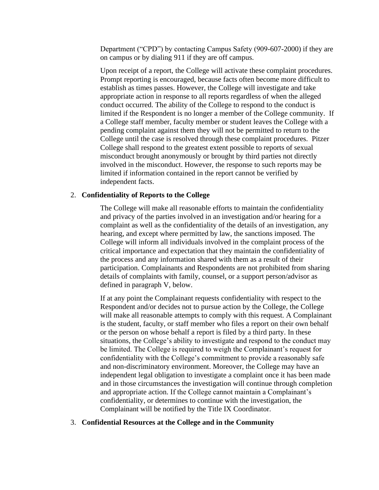Department ("CPD") by contacting Campus Safety (909-607-2000) if they are on campus or by dialing 911 if they are off campus.

Upon receipt of a report, the College will activate these complaint procedures. Prompt reporting is encouraged, because facts often become more difficult to establish as times passes. However, the College will investigate and take appropriate action in response to all reports regardless of when the alleged conduct occurred. The ability of the College to respond to the conduct is limited if the Respondent is no longer a member of the College community. If a College staff member, faculty member or student leaves the College with a pending complaint against them they will not be permitted to return to the College until the case is resolved through these complaint procedures. Pitzer College shall respond to the greatest extent possible to reports of sexual misconduct brought anonymously or brought by third parties not directly involved in the misconduct. However, the response to such reports may be limited if information contained in the report cannot be verified by independent facts.

### 2. **Confidentiality of Reports to the College**

The College will make all reasonable efforts to maintain the confidentiality and privacy of the parties involved in an investigation and/or hearing for a complaint as well as the confidentiality of the details of an investigation, any hearing, and except where permitted by law, the sanctions imposed. The College will inform all individuals involved in the complaint process of the critical importance and expectation that they maintain the confidentiality of the process and any information shared with them as a result of their participation. Complainants and Respondents are not prohibited from sharing details of complaints with family, counsel, or a support person/advisor as defined in paragraph V, below.

If at any point the Complainant requests confidentiality with respect to the Respondent and/or decides not to pursue action by the College, the College will make all reasonable attempts to comply with this request. A Complainant is the student, faculty, or staff member who files a report on their own behalf or the person on whose behalf a report is filed by a third party. In these situations, the College's ability to investigate and respond to the conduct may be limited. The College is required to weigh the Complainant's request for confidentiality with the College's commitment to provide a reasonably safe and non-discriminatory environment. Moreover, the College may have an independent legal obligation to investigate a complaint once it has been made and in those circumstances the investigation will continue through completion and appropriate action. If the College cannot maintain a Complainant's confidentiality, or determines to continue with the investigation, the Complainant will be notified by the Title IX Coordinator.

### 3. **Confidential Resources at the College and in the Community**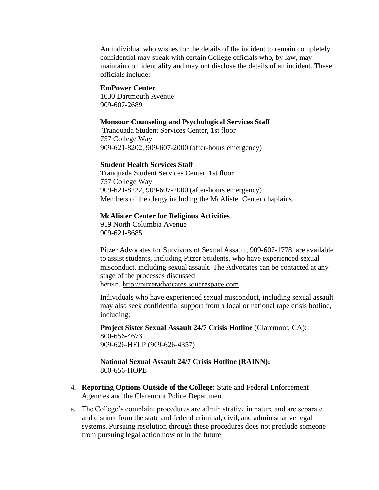An individual who wishes for the details of the incident to remain completely confidential may speak with certain College officials who, by law, may maintain confidentiality and may not disclose the details of an incident. These officials include:

#### **EmPower Center**

1030 Dartmouth Avenue 909-607-2689

#### **Monsour Counseling and Psychological Services Staff**

Tranquada Student Services Center, 1st floor 757 College Way 909-621-8202, 909-607-2000 (after-hours emergency)

## **Student Health Services Staff**

Tranquada Student Services Center, 1st floor 757 College Way 909-621-8222, 909-607-2000 (after-hours emergency) Members of the clergy including the McAlister Center chaplains.

#### **McAlister Center for Religious Activities**

919 North Columbia Avenue 909-621-8685

Pitzer Advocates for Survivors of Sexual Assault, 909-607-1778, are available to assist students, including Pitzer Students, who have experienced sexual misconduct, including sexual assault. The Advocates can be contacted at any stage of the processes discussed herein. [http://pitzeradvocates.squarespace.com](http://pitzeradvocates.squarespace.com/)

Individuals who have experienced sexual misconduct, including sexual assault may also seek confidential support from a local or national rape crisis hotline, including:

**Project Sister Sexual Assault 24/7 Crisis Hotline** (Claremont, CA): 800-656-4673 909-626-HELP (909-626-4357)

## **National Sexual Assault 24/7 Crisis Hotline (RAINN):** 800-656-HOPE

- 4. **Reporting Options Outside of the College:** State and Federal Enforcement Agencies and the Claremont Police Department
- a. The College's complaint procedures are administrative in nature and are separate and distinct from the state and federal criminal, civil, and administrative legal systems. Pursuing resolution through these procedures does not preclude someone from pursuing legal action now or in the future.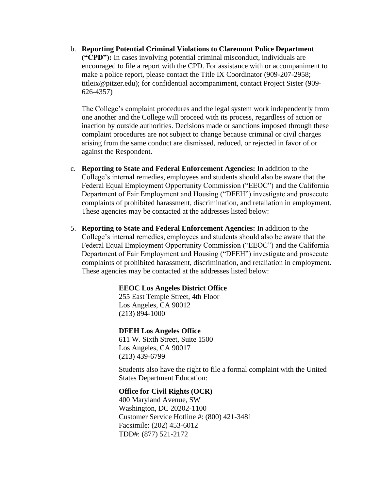b. **Reporting Potential Criminal Violations to Claremont Police Department ("CPD"):** In cases involving potential criminal misconduct, individuals are encouraged to file a report with the CPD. For assistance with or accompaniment to make a police report, please contact the Title IX Coordinator (909-207-2958; titleix@pitzer.edu); for confidential accompaniment, contact Project Sister (909- 626-4357)

The College's complaint procedures and the legal system work independently from one another and the College will proceed with its process, regardless of action or inaction by outside authorities. Decisions made or sanctions imposed through these complaint procedures are not subject to change because criminal or civil charges arising from the same conduct are dismissed, reduced, or rejected in favor of or against the Respondent.

- c. **Reporting to State and Federal Enforcement Agencies:** In addition to the College's internal remedies, employees and students should also be aware that the Federal Equal Employment Opportunity Commission ("EEOC") and the California Department of Fair Employment and Housing ("DFEH") investigate and prosecute complaints of prohibited harassment, discrimination, and retaliation in employment. These agencies may be contacted at the addresses listed below:
- 5. **Reporting to State and Federal Enforcement Agencies:** In addition to the College's internal remedies, employees and students should also be aware that the Federal Equal Employment Opportunity Commission ("EEOC") and the California Department of Fair Employment and Housing ("DFEH") investigate and prosecute complaints of prohibited harassment, discrimination, and retaliation in employment. These agencies may be contacted at the addresses listed below:

## **EEOC Los Angeles District Office**

255 East Temple Street, 4th Floor Los Angeles, CA 90012 (213) 894-1000

## **DFEH Los Angeles Office**

611 W. Sixth Street, Suite 1500 Los Angeles, CA 90017 (213) 439-6799

Students also have the right to file a formal complaint with the United States Department Education:

#### **Office for Civil Rights (OCR)**

400 Maryland Avenue, SW Washington, DC 20202-1100 Customer Service Hotline #: (800) 421-3481 Facsimile: (202) 453-6012 TDD#: (877) 521-2172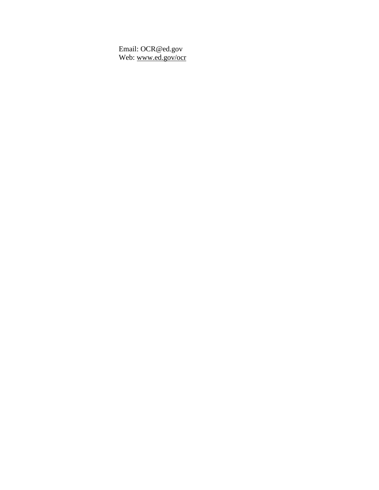Email: OCR@ed.gov Web: [www.ed.gov/ocr](http://www.ed.gov/ocr)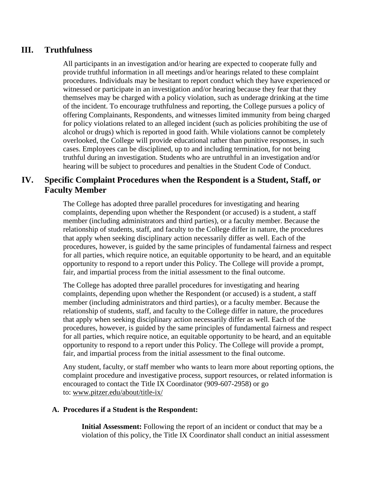# **III. Truthfulness**

All participants in an investigation and/or hearing are expected to cooperate fully and provide truthful information in all meetings and/or hearings related to these complaint procedures. Individuals may be hesitant to report conduct which they have experienced or witnessed or participate in an investigation and/or hearing because they fear that they themselves may be charged with a policy violation, such as underage drinking at the time of the incident. To encourage truthfulness and reporting, the College pursues a policy of offering Complainants, Respondents, and witnesses limited immunity from being charged for policy violations related to an alleged incident (such as policies prohibiting the use of alcohol or drugs) which is reported in good faith. While violations cannot be completely overlooked, the College will provide educational rather than punitive responses, in such cases. Employees can be disciplined, up to and including termination, for not being truthful during an investigation. Students who are untruthful in an investigation and/or hearing will be subject to procedures and penalties in the Student Code of Conduct.

# **IV. Specific Complaint Procedures when the Respondent is a Student, Staff, or Faculty Member**

The College has adopted three parallel procedures for investigating and hearing complaints, depending upon whether the Respondent (or accused) is a student, a staff member (including administrators and third parties), or a faculty member. Because the relationship of students, staff, and faculty to the College differ in nature, the procedures that apply when seeking disciplinary action necessarily differ as well. Each of the procedures, however, is guided by the same principles of fundamental fairness and respect for all parties, which require notice, an equitable opportunity to be heard, and an equitable opportunity to respond to a report under this Policy. The College will provide a prompt, fair, and impartial process from the initial assessment to the final outcome.

The College has adopted three parallel procedures for investigating and hearing complaints, depending upon whether the Respondent (or accused) is a student, a staff member (including administrators and third parties), or a faculty member. Because the relationship of students, staff, and faculty to the College differ in nature, the procedures that apply when seeking disciplinary action necessarily differ as well. Each of the procedures, however, is guided by the same principles of fundamental fairness and respect for all parties, which require notice, an equitable opportunity to be heard, and an equitable opportunity to respond to a report under this Policy. The College will provide a prompt, fair, and impartial process from the initial assessment to the final outcome.

Any student, faculty, or staff member who wants to learn more about reporting options, the complaint procedure and investigative process, support resources, or related information is encouraged to contact the Title IX Coordinator (909-607-2958) or go to: [www.pitzer.edu/about/title-ix/](https://www.pitzer.edu/about/title-ix/)

# **A. Procedures if a Student is the Respondent:**

**Initial Assessment:** Following the report of an incident or conduct that may be a violation of this policy, the Title IX Coordinator shall conduct an initial assessment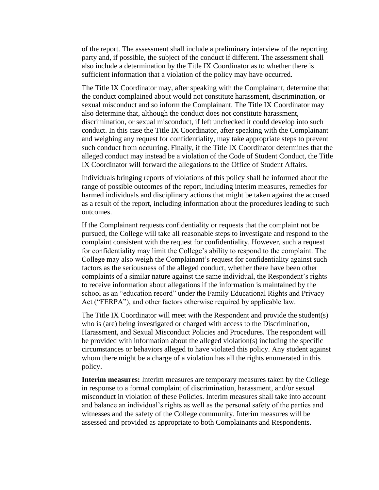of the report. The assessment shall include a preliminary interview of the reporting party and, if possible, the subject of the conduct if different. The assessment shall also include a determination by the Title IX Coordinator as to whether there is sufficient information that a violation of the policy may have occurred.

The Title IX Coordinator may, after speaking with the Complainant, determine that the conduct complained about would not constitute harassment, discrimination, or sexual misconduct and so inform the Complainant. The Title IX Coordinator may also determine that, although the conduct does not constitute harassment, discrimination, or sexual misconduct, if left unchecked it could develop into such conduct. In this case the Title IX Coordinator, after speaking with the Complainant and weighing any request for confidentiality, may take appropriate steps to prevent such conduct from occurring. Finally, if the Title IX Coordinator determines that the alleged conduct may instead be a violation of the Code of Student Conduct, the Title IX Coordinator will forward the allegations to the Office of Student Affairs.

Individuals bringing reports of violations of this policy shall be informed about the range of possible outcomes of the report, including interim measures, remedies for harmed individuals and disciplinary actions that might be taken against the accused as a result of the report, including information about the procedures leading to such outcomes.

If the Complainant requests confidentiality or requests that the complaint not be pursued, the College will take all reasonable steps to investigate and respond to the complaint consistent with the request for confidentiality. However, such a request for confidentiality may limit the College's ability to respond to the complaint. The College may also weigh the Complainant's request for confidentiality against such factors as the seriousness of the alleged conduct, whether there have been other complaints of a similar nature against the same individual, the Respondent's rights to receive information about allegations if the information is maintained by the school as an "education record" under the Family Educational Rights and Privacy Act ("FERPA"), and other factors otherwise required by applicable law.

The Title IX Coordinator will meet with the Respondent and provide the student(s) who is (are) being investigated or charged with access to the Discrimination, Harassment, and Sexual Misconduct Policies and Procedures. The respondent will be provided with information about the alleged violation(s) including the specific circumstances or behaviors alleged to have violated this policy. Any student against whom there might be a charge of a violation has all the rights enumerated in this policy.

**Interim measures:** Interim measures are temporary measures taken by the College in response to a formal complaint of discrimination, harassment, and/or sexual misconduct in violation of these Policies. Interim measures shall take into account and balance an individual's rights as well as the personal safety of the parties and witnesses and the safety of the College community. Interim measures will be assessed and provided as appropriate to both Complainants and Respondents.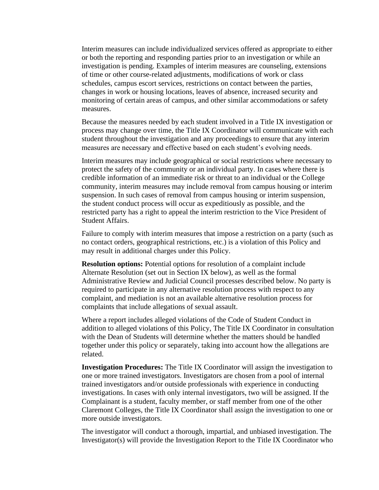Interim measures can include individualized services offered as appropriate to either or both the reporting and responding parties prior to an investigation or while an investigation is pending. Examples of interim measures are counseling, extensions of time or other course-related adjustments, modifications of work or class schedules, campus escort services, restrictions on contact between the parties, changes in work or housing locations, leaves of absence, increased security and monitoring of certain areas of campus, and other similar accommodations or safety measures.

Because the measures needed by each student involved in a Title IX investigation or process may change over time, the Title IX Coordinator will communicate with each student throughout the investigation and any proceedings to ensure that any interim measures are necessary and effective based on each student's evolving needs.

Interim measures may include geographical or social restrictions where necessary to protect the safety of the community or an individual party. In cases where there is credible information of an immediate risk or threat to an individual or the College community, interim measures may include removal from campus housing or interim suspension. In such cases of removal from campus housing or interim suspension, the student conduct process will occur as expeditiously as possible, and the restricted party has a right to appeal the interim restriction to the Vice President of Student Affairs.

Failure to comply with interim measures that impose a restriction on a party (such as no contact orders, geographical restrictions, etc.) is a violation of this Policy and may result in additional charges under this Policy.

**Resolution options:** Potential options for resolution of a complaint include Alternate Resolution (set out in Section IX below), as well as the formal Administrative Review and Judicial Council processes described below. No party is required to participate in any alternative resolution process with respect to any complaint, and mediation is not an available alternative resolution process for complaints that include allegations of sexual assault.

Where a report includes alleged violations of the Code of Student Conduct in addition to alleged violations of this Policy, The Title IX Coordinator in consultation with the Dean of Students will determine whether the matters should be handled together under this policy or separately, taking into account how the allegations are related.

**Investigation Procedures:** The Title IX Coordinator will assign the investigation to one or more trained investigators. Investigators are chosen from a pool of internal trained investigators and/or outside professionals with experience in conducting investigations. In cases with only internal investigators, two will be assigned. If the Complainant is a student, faculty member, or staff member from one of the other Claremont Colleges, the Title IX Coordinator shall assign the investigation to one or more outside investigators.

The investigator will conduct a thorough, impartial, and unbiased investigation. The Investigator(s) will provide the Investigation Report to the Title IX Coordinator who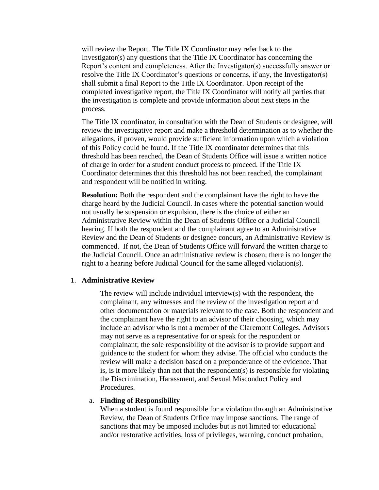will review the Report. The Title IX Coordinator may refer back to the Investigator(s) any questions that the Title IX Coordinator has concerning the Report's content and completeness. After the Investigator(s) successfully answer or resolve the Title IX Coordinator's questions or concerns, if any, the Investigator(s) shall submit a final Report to the Title IX Coordinator. Upon receipt of the completed investigative report, the Title IX Coordinator will notify all parties that the investigation is complete and provide information about next steps in the process.

The Title IX coordinator, in consultation with the Dean of Students or designee, will review the investigative report and make a threshold determination as to whether the allegations, if proven, would provide sufficient information upon which a violation of this Policy could be found. If the Title IX coordinator determines that this threshold has been reached, the Dean of Students Office will issue a written notice of charge in order for a student conduct process to proceed. If the Title IX Coordinator determines that this threshold has not been reached, the complainant and respondent will be notified in writing.

**Resolution:** Both the respondent and the complainant have the right to have the charge heard by the Judicial Council. In cases where the potential sanction would not usually be suspension or expulsion, there is the choice of either an Administrative Review within the Dean of Students Office or a Judicial Council hearing. If both the respondent and the complainant agree to an Administrative Review and the Dean of Students or designee concurs, an Administrative Review is commenced. If not, the Dean of Students Office will forward the written charge to the Judicial Council. Once an administrative review is chosen; there is no longer the right to a hearing before Judicial Council for the same alleged violation(s).

#### 1. **Administrative Review**

The review will include individual interview(s) with the respondent, the complainant, any witnesses and the review of the investigation report and other documentation or materials relevant to the case. Both the respondent and the complainant have the right to an advisor of their choosing, which may include an advisor who is not a member of the Claremont Colleges. Advisors may not serve as a representative for or speak for the respondent or complainant; the sole responsibility of the advisor is to provide support and guidance to the student for whom they advise. The official who conducts the review will make a decision based on a preponderance of the evidence. That is, is it more likely than not that the respondent(s) is responsible for violating the Discrimination, Harassment, and Sexual Misconduct Policy and Procedures.

#### a. **Finding of Responsibility**

When a student is found responsible for a violation through an Administrative Review, the Dean of Students Office may impose sanctions. The range of sanctions that may be imposed includes but is not limited to: educational and/or restorative activities, loss of privileges, warning, conduct probation,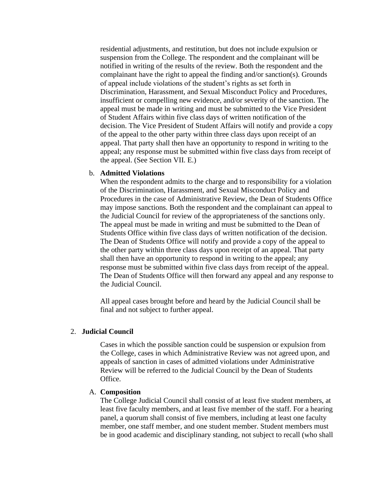residential adjustments, and restitution, but does not include expulsion or suspension from the College. The respondent and the complainant will be notified in writing of the results of the review. Both the respondent and the complainant have the right to appeal the finding and/or sanction(s). Grounds of appeal include violations of the student's rights as set forth in Discrimination, Harassment, and Sexual Misconduct Policy and Procedures, insufficient or compelling new evidence, and/or severity of the sanction. The appeal must be made in writing and must be submitted to the Vice President of Student Affairs within five class days of written notification of the decision. The Vice President of Student Affairs will notify and provide a copy of the appeal to the other party within three class days upon receipt of an appeal. That party shall then have an opportunity to respond in writing to the appeal; any response must be submitted within five class days from receipt of the appeal. (See Section VII. E.)

#### b. **Admitted Violations**

When the respondent admits to the charge and to responsibility for a violation of the Discrimination, Harassment, and Sexual Misconduct Policy and Procedures in the case of Administrative Review, the Dean of Students Office may impose sanctions. Both the respondent and the complainant can appeal to the Judicial Council for review of the appropriateness of the sanctions only. The appeal must be made in writing and must be submitted to the Dean of Students Office within five class days of written notification of the decision. The Dean of Students Office will notify and provide a copy of the appeal to the other party within three class days upon receipt of an appeal. That party shall then have an opportunity to respond in writing to the appeal; any response must be submitted within five class days from receipt of the appeal. The Dean of Students Office will then forward any appeal and any response to the Judicial Council.

All appeal cases brought before and heard by the Judicial Council shall be final and not subject to further appeal.

#### 2. **Judicial Council**

Cases in which the possible sanction could be suspension or expulsion from the College, cases in which Administrative Review was not agreed upon, and appeals of sanction in cases of admitted violations under Administrative Review will be referred to the Judicial Council by the Dean of Students Office.

#### A. **Composition**

The College Judicial Council shall consist of at least five student members, at least five faculty members, and at least five member of the staff. For a hearing panel, a quorum shall consist of five members, including at least one faculty member, one staff member, and one student member. Student members must be in good academic and disciplinary standing, not subject to recall (who shall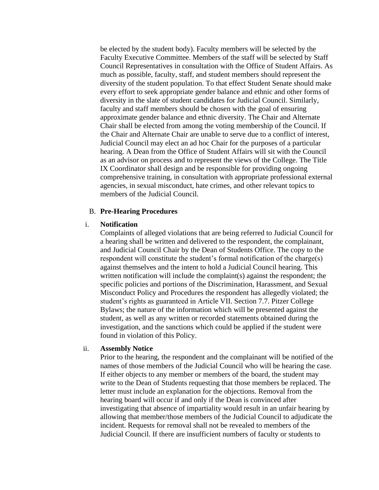be elected by the student body). Faculty members will be selected by the Faculty Executive Committee. Members of the staff will be selected by Staff Council Representatives in consultation with the Office of Student Affairs. As much as possible, faculty, staff, and student members should represent the diversity of the student population. To that effect Student Senate should make every effort to seek appropriate gender balance and ethnic and other forms of diversity in the slate of student candidates for Judicial Council. Similarly, faculty and staff members should be chosen with the goal of ensuring approximate gender balance and ethnic diversity. The Chair and Alternate Chair shall be elected from among the voting membership of the Council. If the Chair and Alternate Chair are unable to serve due to a conflict of interest, Judicial Council may elect an ad hoc Chair for the purposes of a particular hearing. A Dean from the Office of Student Affairs will sit with the Council as an advisor on process and to represent the views of the College. The Title IX Coordinator shall design and be responsible for providing ongoing comprehensive training, in consultation with appropriate professional external agencies, in sexual misconduct, hate crimes, and other relevant topics to members of the Judicial Council.

#### B. **Pre-Hearing Procedures**

#### i. **Notification**

Complaints of alleged violations that are being referred to Judicial Council for a hearing shall be written and delivered to the respondent, the complainant, and Judicial Council Chair by the Dean of Students Office. The copy to the respondent will constitute the student's formal notification of the charge(s) against themselves and the intent to hold a Judicial Council hearing. This written notification will include the complaint(s) against the respondent; the specific policies and portions of the Discrimination, Harassment, and Sexual Misconduct Policy and Procedures the respondent has allegedly violated; the student's rights as guaranteed in Article VII. Section 7.7. Pitzer College Bylaws; the nature of the information which will be presented against the student, as well as any written or recorded statements obtained during the investigation, and the sanctions which could be applied if the student were found in violation of this Policy.

#### ii. **Assembly Notice**

Prior to the hearing, the respondent and the complainant will be notified of the names of those members of the Judicial Council who will be hearing the case. If either objects to any member or members of the board, the student may write to the Dean of Students requesting that those members be replaced. The letter must include an explanation for the objections. Removal from the hearing board will occur if and only if the Dean is convinced after investigating that absence of impartiality would result in an unfair hearing by allowing that member/those members of the Judicial Council to adjudicate the incident. Requests for removal shall not be revealed to members of the Judicial Council. If there are insufficient numbers of faculty or students to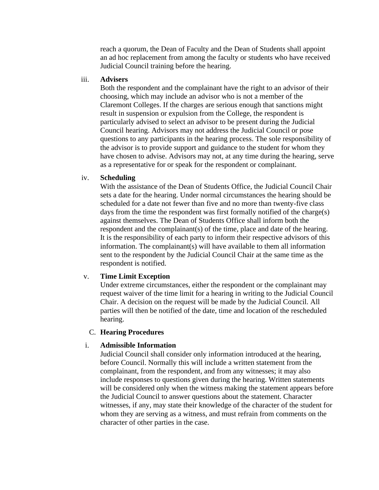reach a quorum, the Dean of Faculty and the Dean of Students shall appoint an ad hoc replacement from among the faculty or students who have received Judicial Council training before the hearing.

#### iii. **Advisers**

Both the respondent and the complainant have the right to an advisor of their choosing, which may include an advisor who is not a member of the Claremont Colleges. If the charges are serious enough that sanctions might result in suspension or expulsion from the College, the respondent is particularly advised to select an advisor to be present during the Judicial Council hearing. Advisors may not address the Judicial Council or pose questions to any participants in the hearing process. The sole responsibility of the advisor is to provide support and guidance to the student for whom they have chosen to advise. Advisors may not, at any time during the hearing, serve as a representative for or speak for the respondent or complainant.

#### iv. **Scheduling**

With the assistance of the Dean of Students Office, the Judicial Council Chair sets a date for the hearing. Under normal circumstances the hearing should be scheduled for a date not fewer than five and no more than twenty-five class days from the time the respondent was first formally notified of the charge(s) against themselves. The Dean of Students Office shall inform both the respondent and the complainant(s) of the time, place and date of the hearing. It is the responsibility of each party to inform their respective advisors of this information. The complainant(s) will have available to them all information sent to the respondent by the Judicial Council Chair at the same time as the respondent is notified.

## v. **Time Limit Exception**

Under extreme circumstances, either the respondent or the complainant may request waiver of the time limit for a hearing in writing to the Judicial Council Chair. A decision on the request will be made by the Judicial Council. All parties will then be notified of the date, time and location of the rescheduled hearing.

## C. **Hearing Procedures**

## i. **Admissible Information**

Judicial Council shall consider only information introduced at the hearing, before Council. Normally this will include a written statement from the complainant, from the respondent, and from any witnesses; it may also include responses to questions given during the hearing. Written statements will be considered only when the witness making the statement appears before the Judicial Council to answer questions about the statement. Character witnesses, if any, may state their knowledge of the character of the student for whom they are serving as a witness, and must refrain from comments on the character of other parties in the case.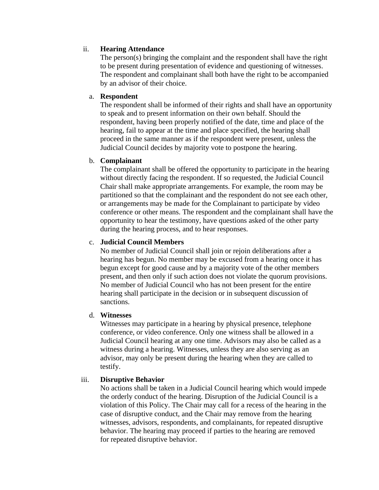# ii. **Hearing Attendance**

The person(s) bringing the complaint and the respondent shall have the right to be present during presentation of evidence and questioning of witnesses. The respondent and complainant shall both have the right to be accompanied by an advisor of their choice.

## a. **Respondent**

The respondent shall be informed of their rights and shall have an opportunity to speak and to present information on their own behalf. Should the respondent, having been properly notified of the date, time and place of the hearing, fail to appear at the time and place specified, the hearing shall proceed in the same manner as if the respondent were present, unless the Judicial Council decides by majority vote to postpone the hearing.

# b. **Complainant**

The complainant shall be offered the opportunity to participate in the hearing without directly facing the respondent. If so requested, the Judicial Council Chair shall make appropriate arrangements. For example, the room may be partitioned so that the complainant and the respondent do not see each other, or arrangements may be made for the Complainant to participate by video conference or other means. The respondent and the complainant shall have the opportunity to hear the testimony, have questions asked of the other party during the hearing process, and to hear responses.

# c. **Judicial Council Members**

No member of Judicial Council shall join or rejoin deliberations after a hearing has begun. No member may be excused from a hearing once it has begun except for good cause and by a majority vote of the other members present, and then only if such action does not violate the quorum provisions. No member of Judicial Council who has not been present for the entire hearing shall participate in the decision or in subsequent discussion of sanctions.

# d. **Witnesses**

Witnesses may participate in a hearing by physical presence, telephone conference, or video conference. Only one witness shall be allowed in a Judicial Council hearing at any one time. Advisors may also be called as a witness during a hearing. Witnesses, unless they are also serving as an advisor, may only be present during the hearing when they are called to testify.

# iii. **Disruptive Behavior**

No actions shall be taken in a Judicial Council hearing which would impede the orderly conduct of the hearing. Disruption of the Judicial Council is a violation of this Policy. The Chair may call for a recess of the hearing in the case of disruptive conduct, and the Chair may remove from the hearing witnesses, advisors, respondents, and complainants, for repeated disruptive behavior. The hearing may proceed if parties to the hearing are removed for repeated disruptive behavior.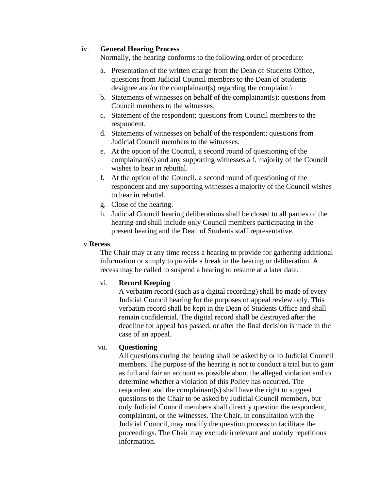## iv. **General Hearing Process**

Normally, the hearing conforms to the following order of procedure:

- a. Presentation of the written charge from the Dean of Students Office, questions from Judicial Council members to the Dean of Students designee and/or the complainant(s) regarding the complaint.\
- b. Statements of witnesses on behalf of the complainant(s); questions from Council members to the witnesses.
- c. Statement of the respondent; questions from Council members to the respondent.
- d. Statements of witnesses on behalf of the respondent; questions from Judicial Council members to the witnesses.
- e. At the option of the Council, a second round of questioning of the complainant(s) and any supporting witnesses a f. majority of the Council wishes to hear in rebuttal.
- f. At the option of the Council, a second round of questioning of the respondent and any supporting witnesses a majority of the Council wishes to hear in rebuttal.
- g. Close of the hearing.
- h. Judicial Council hearing deliberations shall be closed to all parties of the hearing and shall include only Council members participating in the present hearing and the Dean of Students staff representative.

### v.**Recess**

The Chair may at any time recess a hearing to provide for gathering additional information or simply to provide a break in the hearing or deliberation. A recess may be called to suspend a hearing to resume at a later date.

## vi. **Record Keeping**

A verbatim record (such as a digital recording) shall be made of every Judicial Council hearing for the purposes of appeal review only. This verbatim record shall be kept in the Dean of Students Office and shall remain confidential. The digital record shall be destroyed after the deadline for appeal has passed, or after the final decision is made in the case of an appeal.

# vii. **Questioning**

All questions during the hearing shall be asked by or to Judicial Council members. The purpose of the hearing is not to conduct a trial but to gain as full and fair an account as possible about the alleged violation and to determine whether a violation of this Policy has occurred. The respondent and the complainant(s) shall have the right to suggest questions to the Chair to be asked by Judicial Council members, but only Judicial Council members shall directly question the respondent, complainant, or the witnesses. The Chair, in consultation with the Judicial Council, may modify the question process to facilitate the proceedings. The Chair may exclude irrelevant and unduly repetitious information.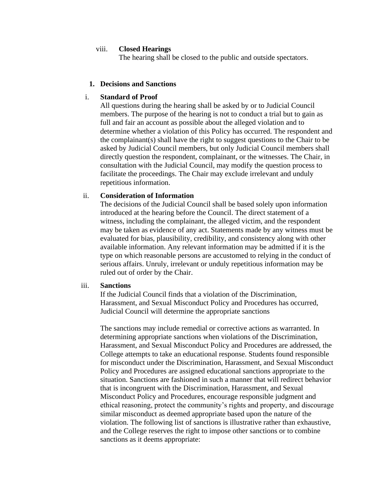#### viii. **Closed Hearings**

The hearing shall be closed to the public and outside spectators.

### **1. Decisions and Sanctions**

### i. **Standard of Proof**

All questions during the hearing shall be asked by or to Judicial Council members. The purpose of the hearing is not to conduct a trial but to gain as full and fair an account as possible about the alleged violation and to determine whether a violation of this Policy has occurred. The respondent and the complainant(s) shall have the right to suggest questions to the Chair to be asked by Judicial Council members, but only Judicial Council members shall directly question the respondent, complainant, or the witnesses. The Chair, in consultation with the Judicial Council, may modify the question process to facilitate the proceedings. The Chair may exclude irrelevant and unduly repetitious information.

#### ii. **Consideration of Information**

The decisions of the Judicial Council shall be based solely upon information introduced at the hearing before the Council. The direct statement of a witness, including the complainant, the alleged victim, and the respondent may be taken as evidence of any act. Statements made by any witness must be evaluated for bias, plausibility, credibility, and consistency along with other available information. Any relevant information may be admitted if it is the type on which reasonable persons are accustomed to relying in the conduct of serious affairs. Unruly, irrelevant or unduly repetitious information may be ruled out of order by the Chair.

# iii. **Sanctions**

If the Judicial Council finds that a violation of the Discrimination, Harassment, and Sexual Misconduct Policy and Procedures has occurred, Judicial Council will determine the appropriate sanctions

The sanctions may include remedial or corrective actions as warranted. In determining appropriate sanctions when violations of the Discrimination, Harassment, and Sexual Misconduct Policy and Procedures are addressed, the College attempts to take an educational response. Students found responsible for misconduct under the Discrimination, Harassment, and Sexual Misconduct Policy and Procedures are assigned educational sanctions appropriate to the situation. Sanctions are fashioned in such a manner that will redirect behavior that is incongruent with the Discrimination, Harassment, and Sexual Misconduct Policy and Procedures, encourage responsible judgment and ethical reasoning, protect the community's rights and property, and discourage similar misconduct as deemed appropriate based upon the nature of the violation. The following list of sanctions is illustrative rather than exhaustive, and the College reserves the right to impose other sanctions or to combine sanctions as it deems appropriate: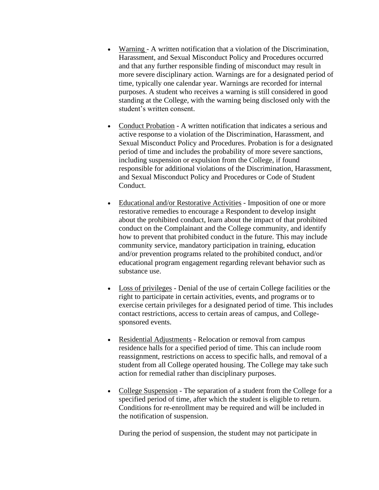- Warning A written notification that a violation of the Discrimination, Harassment, and Sexual Misconduct Policy and Procedures occurred and that any further responsible finding of misconduct may result in more severe disciplinary action. Warnings are for a designated period of time, typically one calendar year. Warnings are recorded for internal purposes. A student who receives a warning is still considered in good standing at the College, with the warning being disclosed only with the student's written consent.
- Conduct Probation A written notification that indicates a serious and active response to a violation of the Discrimination, Harassment, and Sexual Misconduct Policy and Procedures. Probation is for a designated period of time and includes the probability of more severe sanctions, including suspension or expulsion from the College, if found responsible for additional violations of the Discrimination, Harassment, and Sexual Misconduct Policy and Procedures or Code of Student Conduct.
- Educational and/or Restorative Activities Imposition of one or more restorative remedies to encourage a Respondent to develop insight about the prohibited conduct, learn about the impact of that prohibited conduct on the Complainant and the College community, and identify how to prevent that prohibited conduct in the future. This may include community service, mandatory participation in training, education and/or prevention programs related to the prohibited conduct, and/or educational program engagement regarding relevant behavior such as substance use.
- Loss of privileges Denial of the use of certain College facilities or the right to participate in certain activities, events, and programs or to exercise certain privileges for a designated period of time. This includes contact restrictions, access to certain areas of campus, and Collegesponsored events.
- Residential Adjustments Relocation or removal from campus residence halls for a specified period of time. This can include room reassignment, restrictions on access to specific halls, and removal of a student from all College operated housing. The College may take such action for remedial rather than disciplinary purposes.
- College Suspension The separation of a student from the College for a specified period of time, after which the student is eligible to return. Conditions for re-enrollment may be required and will be included in the notification of suspension.

During the period of suspension, the student may not participate in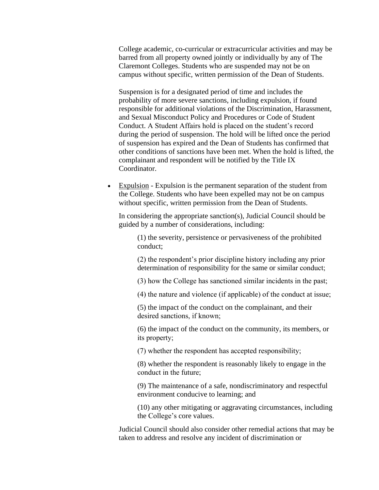College academic, co-curricular or extracurricular activities and may be barred from all property owned jointly or individually by any of The Claremont Colleges. Students who are suspended may not be on campus without specific, written permission of the Dean of Students.

Suspension is for a designated period of time and includes the probability of more severe sanctions, including expulsion, if found responsible for additional violations of the Discrimination, Harassment, and Sexual Misconduct Policy and Procedures or Code of Student Conduct. A Student Affairs hold is placed on the student's record during the period of suspension. The hold will be lifted once the period of suspension has expired and the Dean of Students has confirmed that other conditions of sanctions have been met. When the hold is lifted, the complainant and respondent will be notified by the Title IX Coordinator.

• Expulsion - Expulsion is the permanent separation of the student from the College. Students who have been expelled may not be on campus without specific, written permission from the Dean of Students.

In considering the appropriate sanction(s), Judicial Council should be guided by a number of considerations, including:

(1) the severity, persistence or pervasiveness of the prohibited conduct;

(2) the respondent's prior discipline history including any prior determination of responsibility for the same or similar conduct;

(3) how the College has sanctioned similar incidents in the past;

(4) the nature and violence (if applicable) of the conduct at issue;

(5) the impact of the conduct on the complainant, and their desired sanctions, if known;

(6) the impact of the conduct on the community, its members, or its property;

(7) whether the respondent has accepted responsibility;

(8) whether the respondent is reasonably likely to engage in the conduct in the future;

(9) The maintenance of a safe, nondiscriminatory and respectful environment conducive to learning; and

(10) any other mitigating or aggravating circumstances, including the College's core values.

Judicial Council should also consider other remedial actions that may be taken to address and resolve any incident of discrimination or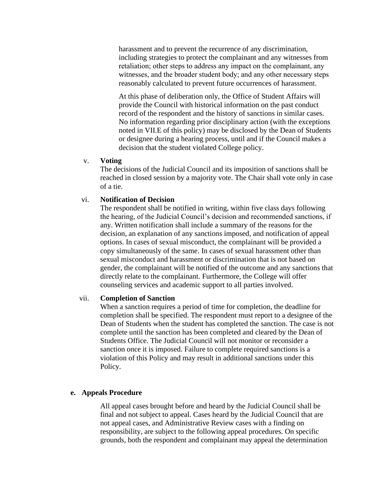harassment and to prevent the recurrence of any discrimination, including strategies to protect the complainant and any witnesses from retaliation; other steps to address any impact on the complainant, any witnesses, and the broader student body; and any other necessary steps reasonably calculated to prevent future occurrences of harassment.

At this phase of deliberation only, the Office of Student Affairs will provide the Council with historical information on the past conduct record of the respondent and the history of sanctions in similar cases. No information regarding prior disciplinary action (with the exceptions noted in VII.E of this policy) may be disclosed by the Dean of Students or designee during a hearing process, until and if the Council makes a decision that the student violated College policy.

#### v. **Voting**

The decisions of the Judicial Council and its imposition of sanctions shall be reached in closed session by a majority vote. The Chair shall vote only in case of a tie.

#### vi. **Notification of Decision**

The respondent shall be notified in writing, within five class days following the hearing, of the Judicial Council's decision and recommended sanctions, if any. Written notification shall include a summary of the reasons for the decision, an explanation of any sanctions imposed, and notification of appeal options. In cases of sexual misconduct, the complainant will be provided a copy simultaneously of the same. In cases of sexual harassment other than sexual misconduct and harassment or discrimination that is not based on gender, the complainant will be notified of the outcome and any sanctions that directly relate to the complainant. Furthermore, the College will offer counseling services and academic support to all parties involved.

#### vii. **Completion of Sanction**

When a sanction requires a period of time for completion, the deadline for completion shall be specified. The respondent must report to a designee of the Dean of Students when the student has completed the sanction. The case is not complete until the sanction has been completed and cleared by the Dean of Students Office. The Judicial Council will not monitor or reconsider a sanction once it is imposed. Failure to complete required sanctions is a violation of this Policy and may result in additional sanctions under this Policy.

#### **e. Appeals Procedure**

All appeal cases brought before and heard by the Judicial Council shall be final and not subject to appeal. Cases heard by the Judicial Council that are not appeal cases, and Administrative Review cases with a finding on responsibility, are subject to the following appeal procedures. On specific grounds, both the respondent and complainant may appeal the determination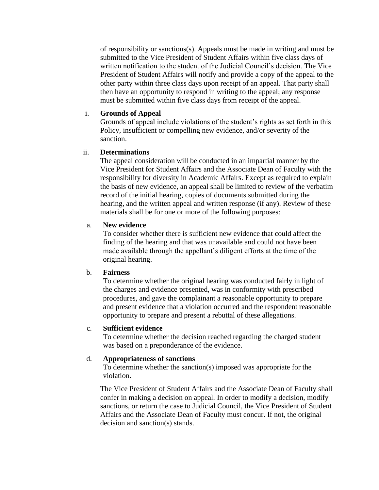of responsibility or sanctions(s). Appeals must be made in writing and must be submitted to the Vice President of Student Affairs within five class days of written notification to the student of the Judicial Council's decision. The Vice President of Student Affairs will notify and provide a copy of the appeal to the other party within three class days upon receipt of an appeal. That party shall then have an opportunity to respond in writing to the appeal; any response must be submitted within five class days from receipt of the appeal.

#### i. **Grounds of Appeal**

Grounds of appeal include violations of the student's rights as set forth in this Policy, insufficient or compelling new evidence, and/or severity of the sanction.

## ii. **Determinations**

The appeal consideration will be conducted in an impartial manner by the Vice President for Student Affairs and the Associate Dean of Faculty with the responsibility for diversity in Academic Affairs. Except as required to explain the basis of new evidence, an appeal shall be limited to review of the verbatim record of the initial hearing, copies of documents submitted during the hearing, and the written appeal and written response (if any). Review of these materials shall be for one or more of the following purposes:

### a. **New evidence**

To consider whether there is sufficient new evidence that could affect the finding of the hearing and that was unavailable and could not have been made available through the appellant's diligent efforts at the time of the original hearing.

#### b. **Fairness**

To determine whether the original hearing was conducted fairly in light of the charges and evidence presented, was in conformity with prescribed procedures, and gave the complainant a reasonable opportunity to prepare and present evidence that a violation occurred and the respondent reasonable opportunity to prepare and present a rebuttal of these allegations.

#### c. **Sufficient evidence**

To determine whether the decision reached regarding the charged student was based on a preponderance of the evidence.

#### d. **Appropriateness of sanctions**

To determine whether the sanction(s) imposed was appropriate for the violation.

The Vice President of Student Affairs and the Associate Dean of Faculty shall confer in making a decision on appeal. In order to modify a decision, modify sanctions, or return the case to Judicial Council, the Vice President of Student Affairs and the Associate Dean of Faculty must concur. If not, the original decision and sanction(s) stands.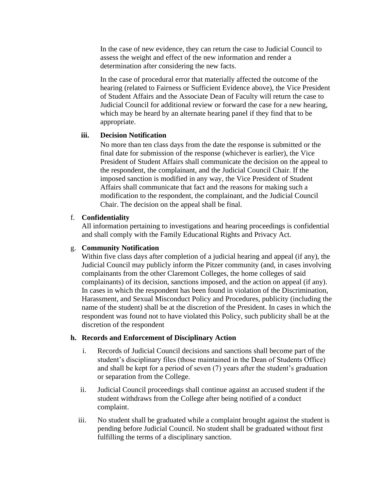In the case of new evidence, they can return the case to Judicial Council to assess the weight and effect of the new information and render a determination after considering the new facts.

In the case of procedural error that materially affected the outcome of the hearing (related to Fairness or Sufficient Evidence above), the Vice President of Student Affairs and the Associate Dean of Faculty will return the case to Judicial Council for additional review or forward the case for a new hearing, which may be heard by an alternate hearing panel if they find that to be appropriate.

# **iii. Decision Notification**

No more than ten class days from the date the response is submitted or the final date for submission of the response (whichever is earlier), the Vice President of Student Affairs shall communicate the decision on the appeal to the respondent, the complainant, and the Judicial Council Chair. If the imposed sanction is modified in any way, the Vice President of Student Affairs shall communicate that fact and the reasons for making such a modification to the respondent, the complainant, and the Judicial Council Chair. The decision on the appeal shall be final.

# f. **Confidentiality**

All information pertaining to investigations and hearing proceedings is confidential and shall comply with the Family Educational Rights and Privacy Act.

## g. **Community Notification**

Within five class days after completion of a judicial hearing and appeal (if any), the Judicial Council may publicly inform the Pitzer community (and, in cases involving complainants from the other Claremont Colleges, the home colleges of said complainants) of its decision, sanctions imposed, and the action on appeal (if any). In cases in which the respondent has been found in violation of the Discrimination, Harassment, and Sexual Misconduct Policy and Procedures, publicity (including the name of the student) shall be at the discretion of the President. In cases in which the respondent was found not to have violated this Policy, such publicity shall be at the discretion of the respondent

## **h. Records and Enforcement of Disciplinary Action**

- i. Records of Judicial Council decisions and sanctions shall become part of the student's disciplinary files (those maintained in the Dean of Students Office) and shall be kept for a period of seven (7) years after the student's graduation or separation from the College.
- ii. Judicial Council proceedings shall continue against an accused student if the student withdraws from the College after being notified of a conduct complaint.
- iii. No student shall be graduated while a complaint brought against the student is pending before Judicial Council. No student shall be graduated without first fulfilling the terms of a disciplinary sanction.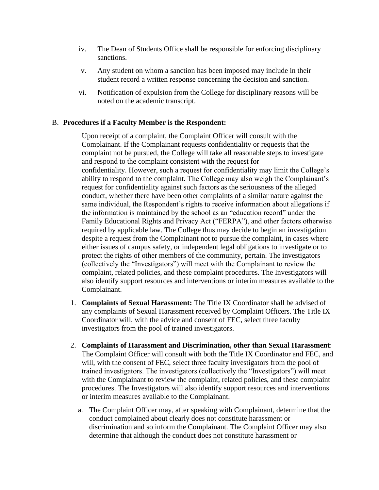- iv. The Dean of Students Office shall be responsible for enforcing disciplinary sanctions.
- v. Any student on whom a sanction has been imposed may include in their student record a written response concerning the decision and sanction.
- vi. Notification of expulsion from the College for disciplinary reasons will be noted on the academic transcript.

# B. **Procedures if a Faculty Member is the Respondent:**

Upon receipt of a complaint, the Complaint Officer will consult with the Complainant. If the Complainant requests confidentiality or requests that the complaint not be pursued, the College will take all reasonable steps to investigate and respond to the complaint consistent with the request for confidentiality. However, such a request for confidentiality may limit the College's ability to respond to the complaint. The College may also weigh the Complainant's request for confidentiality against such factors as the seriousness of the alleged conduct, whether there have been other complaints of a similar nature against the same individual, the Respondent's rights to receive information about allegations if the information is maintained by the school as an "education record" under the Family Educational Rights and Privacy Act ("FERPA"), and other factors otherwise required by applicable law. The College thus may decide to begin an investigation despite a request from the Complainant not to pursue the complaint, in cases where either issues of campus safety, or independent legal obligations to investigate or to protect the rights of other members of the community, pertain. The investigators (collectively the "Investigators") will meet with the Complainant to review the complaint, related policies, and these complaint procedures. The Investigators will also identify support resources and interventions or interim measures available to the Complainant.

- 1. **Complaints of Sexual Harassment:** The Title IX Coordinator shall be advised of any complaints of Sexual Harassment received by Complaint Officers. The Title IX Coordinator will, with the advice and consent of FEC, select three faculty investigators from the pool of trained investigators.
- 2. **Complaints of Harassment and Discrimination, other than Sexual Harassment**: The Complaint Officer will consult with both the Title IX Coordinator and FEC, and will, with the consent of FEC, select three faculty investigators from the pool of trained investigators. The investigators (collectively the "Investigators") will meet with the Complainant to review the complaint, related policies, and these complaint procedures. The Investigators will also identify support resources and interventions or interim measures available to the Complainant.
	- a. The Complaint Officer may, after speaking with Complainant, determine that the conduct complained about clearly does not constitute harassment or discrimination and so inform the Complainant. The Complaint Officer may also determine that although the conduct does not constitute harassment or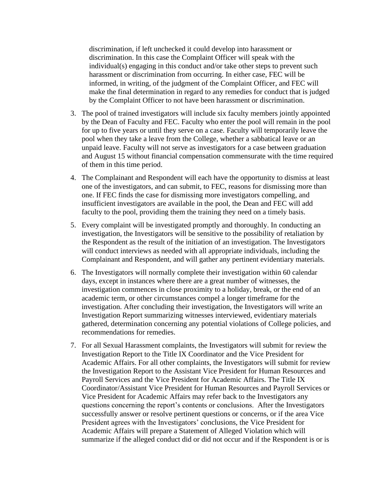discrimination, if left unchecked it could develop into harassment or discrimination. In this case the Complaint Officer will speak with the individual(s) engaging in this conduct and/or take other steps to prevent such harassment or discrimination from occurring. In either case, FEC will be informed, in writing, of the judgment of the Complaint Officer, and FEC will make the final determination in regard to any remedies for conduct that is judged by the Complaint Officer to not have been harassment or discrimination.

- 3. The pool of trained investigators will include six faculty members jointly appointed by the Dean of Faculty and FEC. Faculty who enter the pool will remain in the pool for up to five years or until they serve on a case. Faculty will temporarily leave the pool when they take a leave from the College, whether a sabbatical leave or an unpaid leave. Faculty will not serve as investigators for a case between graduation and August 15 without financial compensation commensurate with the time required of them in this time period.
- 4. The Complainant and Respondent will each have the opportunity to dismiss at least one of the investigators, and can submit, to FEC, reasons for dismissing more than one. If FEC finds the case for dismissing more investigators compelling, and insufficient investigators are available in the pool, the Dean and FEC will add faculty to the pool, providing them the training they need on a timely basis.
- 5. Every complaint will be investigated promptly and thoroughly. In conducting an investigation, the Investigators will be sensitive to the possibility of retaliation by the Respondent as the result of the initiation of an investigation. The Investigators will conduct interviews as needed with all appropriate individuals, including the Complainant and Respondent, and will gather any pertinent evidentiary materials.
- 6. The Investigators will normally complete their investigation within 60 calendar days, except in instances where there are a great number of witnesses, the investigation commences in close proximity to a holiday, break, or the end of an academic term, or other circumstances compel a longer timeframe for the investigation. After concluding their investigation, the Investigators will write an Investigation Report summarizing witnesses interviewed, evidentiary materials gathered, determination concerning any potential violations of College policies, and recommendations for remedies.
- 7. For all Sexual Harassment complaints, the Investigators will submit for review the Investigation Report to the Title IX Coordinator and the Vice President for Academic Affairs. For all other complaints, the Investigators will submit for review the Investigation Report to the Assistant Vice President for Human Resources and Payroll Services and the Vice President for Academic Affairs. The Title IX Coordinator/Assistant Vice President for Human Resources and Payroll Services or Vice President for Academic Affairs may refer back to the Investigators any questions concerning the report's contents or conclusions. After the Investigators successfully answer or resolve pertinent questions or concerns, or if the area Vice President agrees with the Investigators' conclusions, the Vice President for Academic Affairs will prepare a Statement of Alleged Violation which will summarize if the alleged conduct did or did not occur and if the Respondent is or is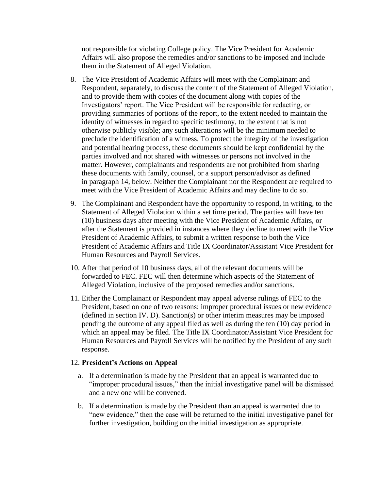not responsible for violating College policy. The Vice President for Academic Affairs will also propose the remedies and/or sanctions to be imposed and include them in the Statement of Alleged Violation.

- 8. The Vice President of Academic Affairs will meet with the Complainant and Respondent, separately, to discuss the content of the Statement of Alleged Violation, and to provide them with copies of the document along with copies of the Investigators' report. The Vice President will be responsible for redacting, or providing summaries of portions of the report, to the extent needed to maintain the identity of witnesses in regard to specific testimony, to the extent that is not otherwise publicly visible; any such alterations will be the minimum needed to preclude the identification of a witness. To protect the integrity of the investigation and potential hearing process, these documents should be kept confidential by the parties involved and not shared with witnesses or persons not involved in the matter. However, complainants and respondents are not prohibited from sharing these documents with family, counsel, or a support person/advisor as defined in paragraph 14, below. Neither the Complainant nor the Respondent are required to meet with the Vice President of Academic Affairs and may decline to do so.
- 9. The Complainant and Respondent have the opportunity to respond, in writing, to the Statement of Alleged Violation within a set time period. The parties will have ten (10) business days after meeting with the Vice President of Academic Affairs, or after the Statement is provided in instances where they decline to meet with the Vice President of Academic Affairs, to submit a written response to both the Vice President of Academic Affairs and Title IX Coordinator/Assistant Vice President for Human Resources and Payroll Services.
- 10. After that period of 10 business days, all of the relevant documents will be forwarded to FEC. FEC will then determine which aspects of the Statement of Alleged Violation, inclusive of the proposed remedies and/or sanctions.
- 11. Either the Complainant or Respondent may appeal adverse rulings of FEC to the President, based on one of two reasons: improper procedural issues or new evidence (defined in section IV. D). Sanction(s) or other interim measures may be imposed pending the outcome of any appeal filed as well as during the ten (10) day period in which an appeal may be filed. The Title IX Coordinator/Assistant Vice President for Human Resources and Payroll Services will be notified by the President of any such response.

## 12. **President's Actions on Appeal**

- a. If a determination is made by the President that an appeal is warranted due to "improper procedural issues," then the initial investigative panel will be dismissed and a new one will be convened.
- b. If a determination is made by the President than an appeal is warranted due to "new evidence," then the case will be returned to the initial investigative panel for further investigation, building on the initial investigation as appropriate.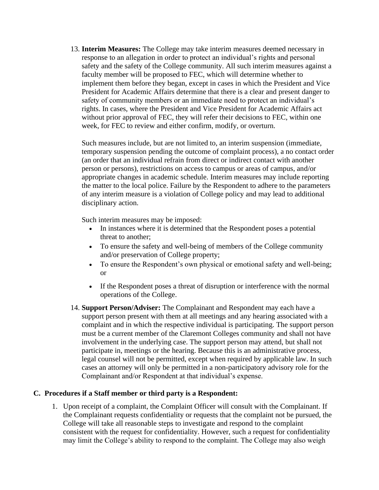13. **Interim Measures:** The College may take interim measures deemed necessary in response to an allegation in order to protect an individual's rights and personal safety and the safety of the College community. All such interim measures against a faculty member will be proposed to FEC, which will determine whether to implement them before they began, except in cases in which the President and Vice President for Academic Affairs determine that there is a clear and present danger to safety of community members or an immediate need to protect an individual's rights. In cases, where the President and Vice President for Academic Affairs act without prior approval of FEC, they will refer their decisions to FEC, within one week, for FEC to review and either confirm, modify, or overturn.

Such measures include, but are not limited to, an interim suspension (immediate, temporary suspension pending the outcome of complaint process), a no contact order (an order that an individual refrain from direct or indirect contact with another person or persons), restrictions on access to campus or areas of campus, and/or appropriate changes in academic schedule. Interim measures may include reporting the matter to the local police. Failure by the Respondent to adhere to the parameters of any interim measure is a violation of College policy and may lead to additional disciplinary action.

Such interim measures may be imposed:

- In instances where it is determined that the Respondent poses a potential threat to another;
- To ensure the safety and well-being of members of the College community and/or preservation of College property;
- To ensure the Respondent's own physical or emotional safety and well-being; or
- If the Respondent poses a threat of disruption or interference with the normal operations of the College.
- 14. **Support Person/Adviser:** The Complainant and Respondent may each have a support person present with them at all meetings and any hearing associated with a complaint and in which the respective individual is participating. The support person must be a current member of the Claremont Colleges community and shall not have involvement in the underlying case. The support person may attend, but shall not participate in, meetings or the hearing. Because this is an administrative process, legal counsel will not be permitted, except when required by applicable law. In such cases an attorney will only be permitted in a non-participatory advisory role for the Complainant and/or Respondent at that individual's expense.

# **C. Procedures if a Staff member or third party is a Respondent:**

1. Upon receipt of a complaint, the Complaint Officer will consult with the Complainant. If the Complainant requests confidentiality or requests that the complaint not be pursued, the College will take all reasonable steps to investigate and respond to the complaint consistent with the request for confidentiality. However, such a request for confidentiality may limit the College's ability to respond to the complaint. The College may also weigh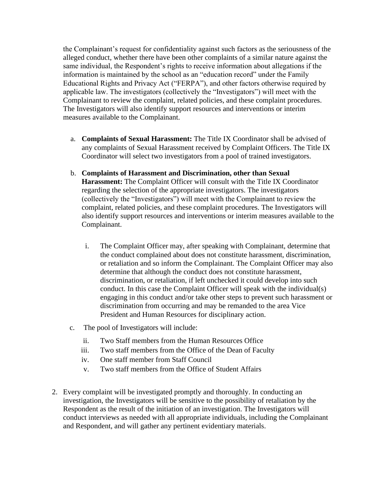the Complainant's request for confidentiality against such factors as the seriousness of the alleged conduct, whether there have been other complaints of a similar nature against the same individual, the Respondent's rights to receive information about allegations if the information is maintained by the school as an "education record" under the Family Educational Rights and Privacy Act ("FERPA"), and other factors otherwise required by applicable law. The investigators (collectively the "Investigators") will meet with the Complainant to review the complaint, related policies, and these complaint procedures. The Investigators will also identify support resources and interventions or interim measures available to the Complainant.

- a. **Complaints of Sexual Harassment:** The Title IX Coordinator shall be advised of any complaints of Sexual Harassment received by Complaint Officers. The Title IX Coordinator will select two investigators from a pool of trained investigators.
- b. **Complaints of Harassment and Discrimination, other than Sexual Harassment:** The Complaint Officer will consult with the Title IX Coordinator regarding the selection of the appropriate investigators. The investigators (collectively the "Investigators") will meet with the Complainant to review the complaint, related policies, and these complaint procedures. The Investigators will also identify support resources and interventions or interim measures available to the Complainant.
	- i. The Complaint Officer may, after speaking with Complainant, determine that the conduct complained about does not constitute harassment, discrimination, or retaliation and so inform the Complainant. The Complaint Officer may also determine that although the conduct does not constitute harassment, discrimination, or retaliation, if left unchecked it could develop into such conduct. In this case the Complaint Officer will speak with the individual(s) engaging in this conduct and/or take other steps to prevent such harassment or discrimination from occurring and may be remanded to the area Vice President and Human Resources for disciplinary action.
- c. The pool of Investigators will include:
	- ii. Two Staff members from the Human Resources Office
	- iii. Two staff members from the Office of the Dean of Faculty
	- iv. One staff member from Staff Council
	- v. Two staff members from the Office of Student Affairs
- 2. Every complaint will be investigated promptly and thoroughly. In conducting an investigation, the Investigators will be sensitive to the possibility of retaliation by the Respondent as the result of the initiation of an investigation. The Investigators will conduct interviews as needed with all appropriate individuals, including the Complainant and Respondent, and will gather any pertinent evidentiary materials.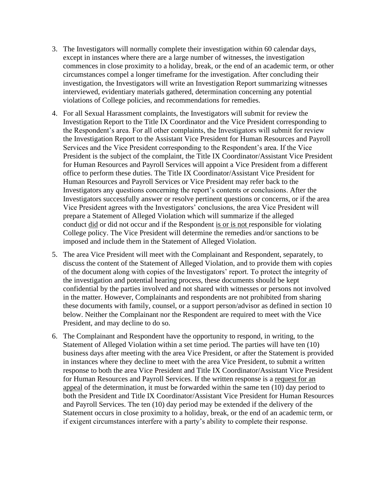- 3. The Investigators will normally complete their investigation within 60 calendar days, except in instances where there are a large number of witnesses, the investigation commences in close proximity to a holiday, break, or the end of an academic term, or other circumstances compel a longer timeframe for the investigation. After concluding their investigation, the Investigators will write an Investigation Report summarizing witnesses interviewed, evidentiary materials gathered, determination concerning any potential violations of College policies, and recommendations for remedies.
- 4. For all Sexual Harassment complaints, the Investigators will submit for review the Investigation Report to the Title IX Coordinator and the Vice President corresponding to the Respondent's area. For all other complaints, the Investigators will submit for review the Investigation Report to the Assistant Vice President for Human Resources and Payroll Services and the Vice President corresponding to the Respondent's area. If the Vice President is the subject of the complaint, the Title IX Coordinator/Assistant Vice President for Human Resources and Payroll Services will appoint a Vice President from a different office to perform these duties. The Title IX Coordinator/Assistant Vice President for Human Resources and Payroll Services or Vice President may refer back to the Investigators any questions concerning the report's contents or conclusions. After the Investigators successfully answer or resolve pertinent questions or concerns, or if the area Vice President agrees with the Investigators' conclusions, the area Vice President will prepare a Statement of Alleged Violation which will summarize if the alleged conduct did or did not occur and if the Respondent is or is not responsible for violating College policy. The Vice President will determine the remedies and/or sanctions to be imposed and include them in the Statement of Alleged Violation.
- 5. The area Vice President will meet with the Complainant and Respondent, separately, to discuss the content of the Statement of Alleged Violation, and to provide them with copies of the document along with copies of the Investigators' report. To protect the integrity of the investigation and potential hearing process, these documents should be kept confidential by the parties involved and not shared with witnesses or persons not involved in the matter. However, Complainants and respondents are not prohibited from sharing these documents with family, counsel, or a support person/advisor as defined in section 10 below. Neither the Complainant nor the Respondent are required to meet with the Vice President, and may decline to do so.
- 6. The Complainant and Respondent have the opportunity to respond, in writing, to the Statement of Alleged Violation within a set time period. The parties will have ten (10) business days after meeting with the area Vice President, or after the Statement is provided in instances where they decline to meet with the area Vice President, to submit a written response to both the area Vice President and Title IX Coordinator/Assistant Vice President for Human Resources and Payroll Services. If the written response is a request for an appeal of the determination, it must be forwarded within the same ten (10) day period to both the President and Title IX Coordinator/Assistant Vice President for Human Resources and Payroll Services. The ten (10) day period may be extended if the delivery of the Statement occurs in close proximity to a holiday, break, or the end of an academic term, or if exigent circumstances interfere with a party's ability to complete their response.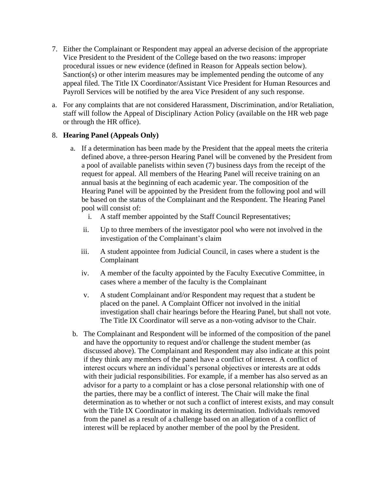- 7. Either the Complainant or Respondent may appeal an adverse decision of the appropriate Vice President to the President of the College based on the two reasons: improper procedural issues or new evidence (defined in Reason for Appeals section below). Sanction(s) or other interim measures may be implemented pending the outcome of any appeal filed. The Title IX Coordinator/Assistant Vice President for Human Resources and Payroll Services will be notified by the area Vice President of any such response.
- a. For any complaints that are not considered Harassment, Discrimination, and/or Retaliation, staff will follow the Appeal of Disciplinary Action Policy (available on the HR web page or through the HR office).

# 8. **Hearing Panel (Appeals Only)**

- a. If a determination has been made by the President that the appeal meets the criteria defined above, a three-person Hearing Panel will be convened by the President from a pool of available panelists within seven (7) business days from the receipt of the request for appeal. All members of the Hearing Panel will receive training on an annual basis at the beginning of each academic year. The composition of the Hearing Panel will be appointed by the President from the following pool and will be based on the status of the Complainant and the Respondent. The Hearing Panel pool will consist of:
	- i. A staff member appointed by the Staff Council Representatives;
	- ii. Up to three members of the investigator pool who were not involved in the investigation of the Complainant's claim
	- iii. A student appointee from Judicial Council, in cases where a student is the Complainant
	- iv. A member of the faculty appointed by the Faculty Executive Committee, in cases where a member of the faculty is the Complainant
	- v. A student Complainant and/or Respondent may request that a student be placed on the panel. A Complaint Officer not involved in the initial investigation shall chair hearings before the Hearing Panel, but shall not vote. The Title IX Coordinator will serve as a non-voting advisor to the Chair.
- b. The Complainant and Respondent will be informed of the composition of the panel and have the opportunity to request and/or challenge the student member (as discussed above). The Complainant and Respondent may also indicate at this point if they think any members of the panel have a conflict of interest. A conflict of interest occurs where an individual's personal objectives or interests are at odds with their judicial responsibilities. For example, if a member has also served as an advisor for a party to a complaint or has a close personal relationship with one of the parties, there may be a conflict of interest. The Chair will make the final determination as to whether or not such a conflict of interest exists, and may consult with the Title IX Coordinator in making its determination. Individuals removed from the panel as a result of a challenge based on an allegation of a conflict of interest will be replaced by another member of the pool by the President.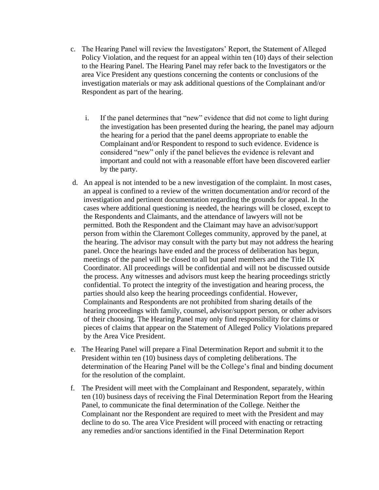- c. The Hearing Panel will review the Investigators' Report, the Statement of Alleged Policy Violation, and the request for an appeal within ten (10) days of their selection to the Hearing Panel. The Hearing Panel may refer back to the Investigators or the area Vice President any questions concerning the contents or conclusions of the investigation materials or may ask additional questions of the Complainant and/or Respondent as part of the hearing.
	- i. If the panel determines that "new" evidence that did not come to light during the investigation has been presented during the hearing, the panel may adjourn the hearing for a period that the panel deems appropriate to enable the Complainant and/or Respondent to respond to such evidence. Evidence is considered "new" only if the panel believes the evidence is relevant and important and could not with a reasonable effort have been discovered earlier by the party.
- d. An appeal is not intended to be a new investigation of the complaint. In most cases, an appeal is confined to a review of the written documentation and/or record of the investigation and pertinent documentation regarding the grounds for appeal. In the cases where additional questioning is needed, the hearings will be closed, except to the Respondents and Claimants, and the attendance of lawyers will not be permitted. Both the Respondent and the Claimant may have an advisor/support person from within the Claremont Colleges community, approved by the panel, at the hearing. The advisor may consult with the party but may not address the hearing panel. Once the hearings have ended and the process of deliberation has begun, meetings of the panel will be closed to all but panel members and the Title IX Coordinator. All proceedings will be confidential and will not be discussed outside the process. Any witnesses and advisors must keep the hearing proceedings strictly confidential. To protect the integrity of the investigation and hearing process, the parties should also keep the hearing proceedings confidential. However, Complainants and Respondents are not prohibited from sharing details of the hearing proceedings with family, counsel, advisor/support person, or other advisors of their choosing. The Hearing Panel may only find responsibility for claims or pieces of claims that appear on the Statement of Alleged Policy Violations prepared by the Area Vice President.
- e. The Hearing Panel will prepare a Final Determination Report and submit it to the President within ten (10) business days of completing deliberations. The determination of the Hearing Panel will be the College's final and binding document for the resolution of the complaint.
- f. The President will meet with the Complainant and Respondent, separately, within ten (10) business days of receiving the Final Determination Report from the Hearing Panel, to communicate the final determination of the College. Neither the Complainant nor the Respondent are required to meet with the President and may decline to do so. The area Vice President will proceed with enacting or retracting any remedies and/or sanctions identified in the Final Determination Report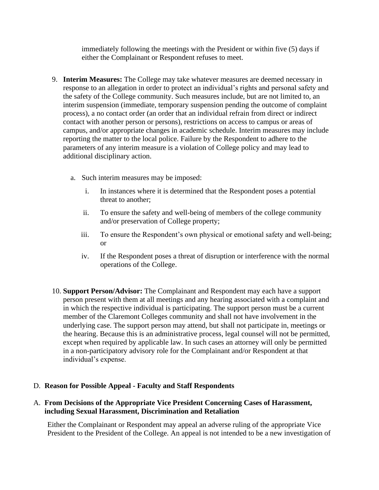immediately following the meetings with the President or within five (5) days if either the Complainant or Respondent refuses to meet.

- 9. **Interim Measures:** The College may take whatever measures are deemed necessary in response to an allegation in order to protect an individual's rights and personal safety and the safety of the College community. Such measures include, but are not limited to, an interim suspension (immediate, temporary suspension pending the outcome of complaint process), a no contact order (an order that an individual refrain from direct or indirect contact with another person or persons), restrictions on access to campus or areas of campus, and/or appropriate changes in academic schedule. Interim measures may include reporting the matter to the local police. Failure by the Respondent to adhere to the parameters of any interim measure is a violation of College policy and may lead to additional disciplinary action.
	- a. Such interim measures may be imposed:
		- i. In instances where it is determined that the Respondent poses a potential threat to another;
		- ii. To ensure the safety and well-being of members of the college community and/or preservation of College property;
		- iii. To ensure the Respondent's own physical or emotional safety and well-being; or
		- iv. If the Respondent poses a threat of disruption or interference with the normal operations of the College.
- 10. **Support Person/Advisor:** The Complainant and Respondent may each have a support person present with them at all meetings and any hearing associated with a complaint and in which the respective individual is participating. The support person must be a current member of the Claremont Colleges community and shall not have involvement in the underlying case. The support person may attend, but shall not participate in, meetings or the hearing. Because this is an administrative process, legal counsel will not be permitted, except when required by applicable law. In such cases an attorney will only be permitted in a non-participatory advisory role for the Complainant and/or Respondent at that individual's expense.

## D. **Reason for Possible Appeal - Faculty and Staff Respondents**

# A. **From Decisions of the Appropriate Vice President Concerning Cases of Harassment, including Sexual Harassment, Discrimination and Retaliation**

Either the Complainant or Respondent may appeal an adverse ruling of the appropriate Vice President to the President of the College. An appeal is not intended to be a new investigation of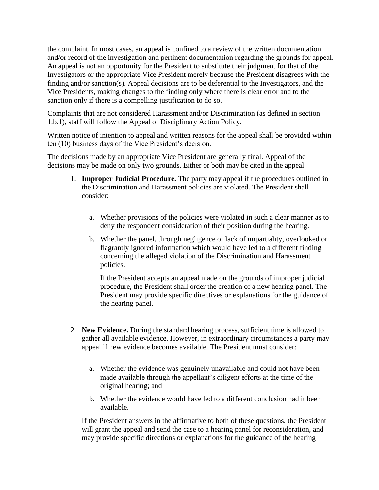the complaint. In most cases, an appeal is confined to a review of the written documentation and/or record of the investigation and pertinent documentation regarding the grounds for appeal. An appeal is not an opportunity for the President to substitute their judgment for that of the Investigators or the appropriate Vice President merely because the President disagrees with the finding and/or sanction(s). Appeal decisions are to be deferential to the Investigators, and the Vice Presidents, making changes to the finding only where there is clear error and to the sanction only if there is a compelling justification to do so.

Complaints that are not considered Harassment and/or Discrimination (as defined in section 1.b.1), staff will follow the Appeal of Disciplinary Action Policy.

Written notice of intention to appeal and written reasons for the appeal shall be provided within ten (10) business days of the Vice President's decision.

The decisions made by an appropriate Vice President are generally final. Appeal of the decisions may be made on only two grounds. Either or both may be cited in the appeal.

- 1. **Improper Judicial Procedure.** The party may appeal if the procedures outlined in the Discrimination and Harassment policies are violated. The President shall consider:
	- a. Whether provisions of the policies were violated in such a clear manner as to deny the respondent consideration of their position during the hearing.
	- b. Whether the panel, through negligence or lack of impartiality, overlooked or flagrantly ignored information which would have led to a different finding concerning the alleged violation of the Discrimination and Harassment policies.

If the President accepts an appeal made on the grounds of improper judicial procedure, the President shall order the creation of a new hearing panel. The President may provide specific directives or explanations for the guidance of the hearing panel.

- 2. **New Evidence.** During the standard hearing process, sufficient time is allowed to gather all available evidence. However, in extraordinary circumstances a party may appeal if new evidence becomes available. The President must consider:
	- a. Whether the evidence was genuinely unavailable and could not have been made available through the appellant's diligent efforts at the time of the original hearing; and
	- b. Whether the evidence would have led to a different conclusion had it been available.

If the President answers in the affirmative to both of these questions, the President will grant the appeal and send the case to a hearing panel for reconsideration, and may provide specific directions or explanations for the guidance of the hearing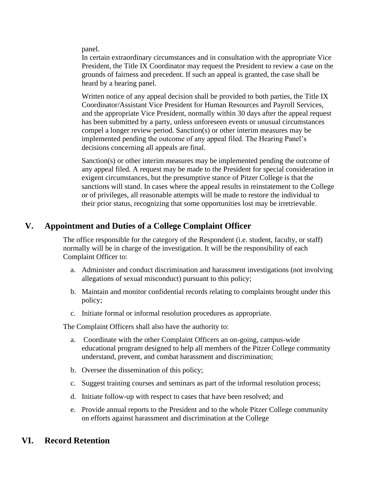panel.

In certain extraordinary circumstances and in consultation with the appropriate Vice President, the Title IX Coordinator may request the President to review a case on the grounds of fairness and precedent. If such an appeal is granted, the case shall be heard by a hearing panel.

Written notice of any appeal decision shall be provided to both parties, the Title IX Coordinator/Assistant Vice President for Human Resources and Payroll Services, and the appropriate Vice President, normally within 30 days after the appeal request has been submitted by a party, unless unforeseen events or unusual circumstances compel a longer review period. Sanction(s) or other interim measures may be implemented pending the outcome of any appeal filed. The Hearing Panel's decisions concerning all appeals are final.

Sanction(s) or other interim measures may be implemented pending the outcome of any appeal filed. A request may be made to the President for special consideration in exigent circumstances, but the presumptive stance of Pitzer College is that the sanctions will stand. In cases where the appeal results in reinstatement to the College or of privileges, all reasonable attempts will be made to restore the individual to their prior status, recognizing that some opportunities lost may be irretrievable.

# **V. Appointment and Duties of a College Complaint Officer**

The office responsible for the category of the Respondent (i.e. student, faculty, or staff) normally will be in charge of the investigation. It will be the responsibility of each Complaint Officer to:

- a. Administer and conduct discrimination and harassment investigations (not involving allegations of sexual misconduct) pursuant to this policy;
- b. Maintain and monitor confidential records relating to complaints brought under this policy;
- c. Initiate formal or informal resolution procedures as appropriate.

The Complaint Officers shall also have the authority to:

- a. Coordinate with the other Complaint Officers an on-going, campus-wide educational program designed to help all members of the Pitzer College community understand, prevent, and combat harassment and discrimination;
- b. Oversee the dissemination of this policy;
- c. Suggest training courses and seminars as part of the informal resolution process;
- d. Initiate follow-up with respect to cases that have been resolved; and
- e. Provide annual reports to the President and to the whole Pitzer College community on efforts against harassment and discrimination at the College

# **VI. Record Retention**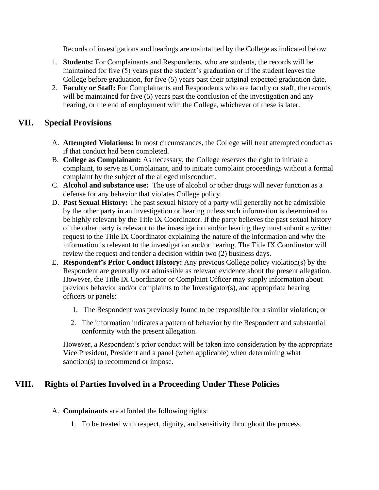Records of investigations and hearings are maintained by the College as indicated below.

- 1. **Students:** For Complainants and Respondents, who are students, the records will be maintained for five (5) years past the student's graduation or if the student leaves the College before graduation, for five (5) years past their original expected graduation date.
- 2. **Faculty or Staff:** For Complainants and Respondents who are faculty or staff, the records will be maintained for five (5) years past the conclusion of the investigation and any hearing, or the end of employment with the College, whichever of these is later.

# **VII. Special Provisions**

- A. **Attempted Violations:** In most circumstances, the College will treat attempted conduct as if that conduct had been completed.
- B. **College as Complainant:** As necessary, the College reserves the right to initiate a complaint, to serve as Complainant, and to initiate complaint proceedings without a formal complaint by the subject of the alleged misconduct.
- C. **Alcohol and substance use:** The use of alcohol or other drugs will never function as a defense for any behavior that violates College policy.
- D. **Past Sexual History:** The past sexual history of a party will generally not be admissible by the other party in an investigation or hearing unless such information is determined to be highly relevant by the Title IX Coordinator. If the party believes the past sexual history of the other party is relevant to the investigation and/or hearing they must submit a written request to the Title IX Coordinator explaining the nature of the information and why the information is relevant to the investigation and/or hearing. The Title IX Coordinator will review the request and render a decision within two (2) business days.
- E. **Respondent's Prior Conduct History:** Any previous College policy violation(s) by the Respondent are generally not admissible as relevant evidence about the present allegation. However, the Title IX Coordinator or Complaint Officer may supply information about previous behavior and/or complaints to the Investigator(s), and appropriate hearing officers or panels:
	- 1. The Respondent was previously found to be responsible for a similar violation; or
	- 2. The information indicates a pattern of behavior by the Respondent and substantial conformity with the present allegation.

However, a Respondent's prior conduct will be taken into consideration by the appropriate Vice President, President and a panel (when applicable) when determining what sanction(s) to recommend or impose.

# **VIII. Rights of Parties Involved in a Proceeding Under These Policies**

- A. **Complainants** are afforded the following rights:
	- 1. To be treated with respect, dignity, and sensitivity throughout the process.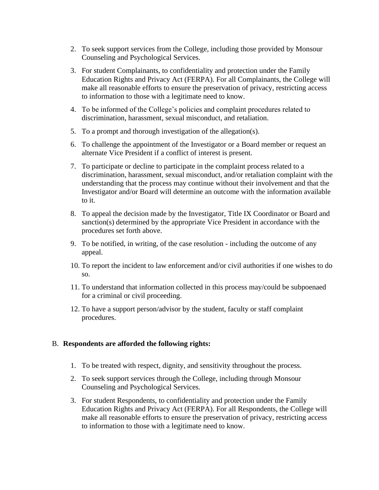- 2. To seek support services from the College, including those provided by Monsour Counseling and Psychological Services.
- 3. For student Complainants, to confidentiality and protection under the Family Education Rights and Privacy Act (FERPA). For all Complainants, the College will make all reasonable efforts to ensure the preservation of privacy, restricting access to information to those with a legitimate need to know.
- 4. To be informed of the College's policies and complaint procedures related to discrimination, harassment, sexual misconduct, and retaliation.
- 5. To a prompt and thorough investigation of the allegation(s).
- 6. To challenge the appointment of the Investigator or a Board member or request an alternate Vice President if a conflict of interest is present.
- 7. To participate or decline to participate in the complaint process related to a discrimination, harassment, sexual misconduct, and/or retaliation complaint with the understanding that the process may continue without their involvement and that the Investigator and/or Board will determine an outcome with the information available to it.
- 8. To appeal the decision made by the Investigator, Title IX Coordinator or Board and sanction(s) determined by the appropriate Vice President in accordance with the procedures set forth above.
- 9. To be notified, in writing, of the case resolution including the outcome of any appeal.
- 10. To report the incident to law enforcement and/or civil authorities if one wishes to do so.
- 11. To understand that information collected in this process may/could be subpoenaed for a criminal or civil proceeding.
- 12. To have a support person/advisor by the student, faculty or staff complaint procedures.

# B. **Respondents are afforded the following rights:**

- 1. To be treated with respect, dignity, and sensitivity throughout the process.
- 2. To seek support services through the College, including through Monsour Counseling and Psychological Services.
- 3. For student Respondents, to confidentiality and protection under the Family Education Rights and Privacy Act (FERPA). For all Respondents, the College will make all reasonable efforts to ensure the preservation of privacy, restricting access to information to those with a legitimate need to know.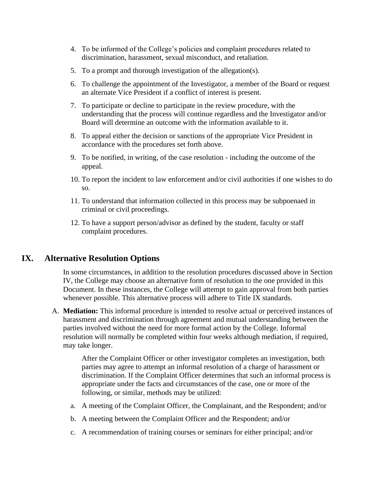- 4. To be informed of the College's policies and complaint procedures related to discrimination, harassment, sexual misconduct, and retaliation.
- 5. To a prompt and thorough investigation of the allegation(s).
- 6. To challenge the appointment of the Investigator, a member of the Board or request an alternate Vice President if a conflict of interest is present.
- 7. To participate or decline to participate in the review procedure, with the understanding that the process will continue regardless and the Investigator and/or Board will determine an outcome with the information available to it.
- 8. To appeal either the decision or sanctions of the appropriate Vice President in accordance with the procedures set forth above.
- 9. To be notified, in writing, of the case resolution including the outcome of the appeal.
- 10. To report the incident to law enforcement and/or civil authorities if one wishes to do so.
- 11. To understand that information collected in this process may be subpoenaed in criminal or civil proceedings.
- 12. To have a support person/advisor as defined by the student, faculty or staff complaint procedures.

# **IX. Alternative Resolution Options**

In some circumstances, in addition to the resolution procedures discussed above in Section IV, the College may choose an alternative form of resolution to the one provided in this Document. In these instances, the College will attempt to gain approval from both parties whenever possible. This alternative process will adhere to Title IX standards.

A. **Mediation:** This informal procedure is intended to resolve actual or perceived instances of harassment and discrimination through agreement and mutual understanding between the parties involved without the need for more formal action by the College. Informal resolution will normally be completed within four weeks although mediation, if required, may take longer.

> After the Complaint Officer or other investigator completes an investigation, both parties may agree to attempt an informal resolution of a charge of harassment or discrimination. If the Complaint Officer determines that such an informal process is appropriate under the facts and circumstances of the case, one or more of the following, or similar, methods may be utilized:

- a. A meeting of the Complaint Officer, the Complainant, and the Respondent; and/or
- b. A meeting between the Complaint Officer and the Respondent; and/or
- c. A recommendation of training courses or seminars for either principal; and/or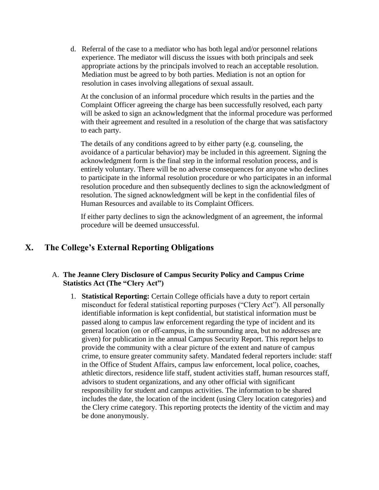d. Referral of the case to a mediator who has both legal and/or personnel relations experience. The mediator will discuss the issues with both principals and seek appropriate actions by the principals involved to reach an acceptable resolution. Mediation must be agreed to by both parties. Mediation is not an option for resolution in cases involving allegations of sexual assault.

At the conclusion of an informal procedure which results in the parties and the Complaint Officer agreeing the charge has been successfully resolved, each party will be asked to sign an acknowledgment that the informal procedure was performed with their agreement and resulted in a resolution of the charge that was satisfactory to each party.

The details of any conditions agreed to by either party (e.g. counseling, the avoidance of a particular behavior) may be included in this agreement. Signing the acknowledgment form is the final step in the informal resolution process, and is entirely voluntary. There will be no adverse consequences for anyone who declines to participate in the informal resolution procedure or who participates in an informal resolution procedure and then subsequently declines to sign the acknowledgment of resolution. The signed acknowledgment will be kept in the confidential files of Human Resources and available to its Complaint Officers.

If either party declines to sign the acknowledgment of an agreement, the informal procedure will be deemed unsuccessful.

# **X. The College's External Reporting Obligations**

# A. **The Jeanne Clery Disclosure of Campus Security Policy and Campus Crime Statistics Act (The "Clery Act")**

1. **Statistical Reporting:** Certain College officials have a duty to report certain misconduct for federal statistical reporting purposes ("Clery Act"). All personally identifiable information is kept confidential, but statistical information must be passed along to campus law enforcement regarding the type of incident and its general location (on or off‐campus, in the surrounding area, but no addresses are given) for publication in the annual Campus Security Report. This report helps to provide the community with a clear picture of the extent and nature of campus crime, to ensure greater community safety. Mandated federal reporters include: staff in the Office of Student Affairs, campus law enforcement, local police, coaches, athletic directors, residence life staff, student activities staff, human resources staff, advisors to student organizations, and any other official with significant responsibility for student and campus activities. The information to be shared includes the date, the location of the incident (using Clery location categories) and the Clery crime category. This reporting protects the identity of the victim and may be done anonymously.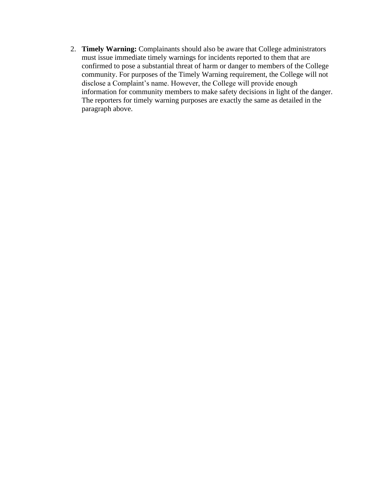2. **Timely Warning:** Complainants should also be aware that College administrators must issue immediate timely warnings for incidents reported to them that are confirmed to pose a substantial threat of harm or danger to members of the College community. For purposes of the Timely Warning requirement, the College will not disclose a Complaint's name. However, the College will provide enough information for community members to make safety decisions in light of the danger. The reporters for timely warning purposes are exactly the same as detailed in the paragraph above.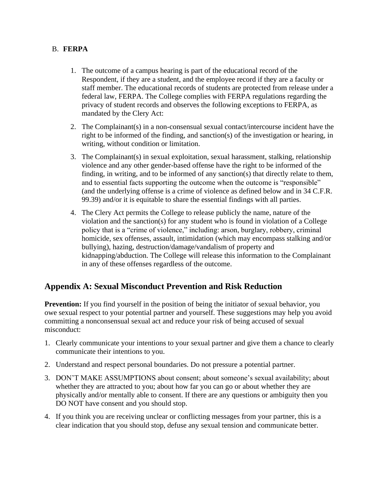# B. **FERPA**

- 1. The outcome of a campus hearing is part of the educational record of the Respondent, if they are a student, and the employee record if they are a faculty or staff member. The educational records of students are protected from release under a federal law, FERPA. The College complies with FERPA regulations regarding the privacy of student records and observes the following exceptions to FERPA, as mandated by the Clery Act:
- 2. The Complainant(s) in a non-consensual sexual contact/intercourse incident have the right to be informed of the finding, and sanction(s) of the investigation or hearing, in writing, without condition or limitation.
- 3. The Complainant(s) in sexual exploitation, sexual harassment, stalking, relationship violence and any other gender-based offense have the right to be informed of the finding, in writing, and to be informed of any sanction(s) that directly relate to them, and to essential facts supporting the outcome when the outcome is "responsible" (and the underlying offense is a crime of violence as defined below and in 34 C.F.R. 99.39) and/or it is equitable to share the essential findings with all parties.
- 4. The Clery Act permits the College to release publicly the name, nature of the violation and the sanction(s) for any student who is found in violation of a College policy that is a "crime of violence," including: arson, burglary, robbery, criminal homicide, sex offenses, assault, intimidation (which may encompass stalking and/or bullying), hazing, destruction/damage/vandalism of property and kidnapping/abduction. The College will release this information to the Complainant in any of these offenses regardless of the outcome.

# **Appendix A: Sexual Misconduct Prevention and Risk Reduction**

**Prevention:** If you find yourself in the position of being the initiator of sexual behavior, you owe sexual respect to your potential partner and yourself. These suggestions may help you avoid committing a nonconsensual sexual act and reduce your risk of being accused of sexual misconduct:

- 1. Clearly communicate your intentions to your sexual partner and give them a chance to clearly communicate their intentions to you.
- 2. Understand and respect personal boundaries. Do not pressure a potential partner.
- 3. DON'T MAKE ASSUMPTIONS about consent; about someone's sexual availability; about whether they are attracted to you; about how far you can go or about whether they are physically and/or mentally able to consent. If there are any questions or ambiguity then you DO NOT have consent and you should stop.
- 4. If you think you are receiving unclear or conflicting messages from your partner, this is a clear indication that you should stop, defuse any sexual tension and communicate better.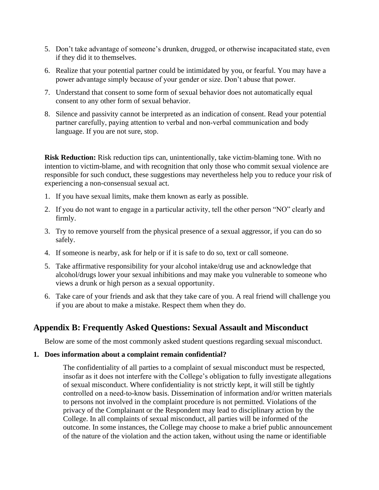- 5. Don't take advantage of someone's drunken, drugged, or otherwise incapacitated state, even if they did it to themselves.
- 6. Realize that your potential partner could be intimidated by you, or fearful. You may have a power advantage simply because of your gender or size. Don't abuse that power.
- 7. Understand that consent to some form of sexual behavior does not automatically equal consent to any other form of sexual behavior.
- 8. Silence and passivity cannot be interpreted as an indication of consent. Read your potential partner carefully, paying attention to verbal and non‐verbal communication and body language. If you are not sure, stop.

**Risk Reduction:** Risk reduction tips can, unintentionally, take victim-blaming tone. With no intention to victim-blame, and with recognition that only those who commit sexual violence are responsible for such conduct, these suggestions may nevertheless help you to reduce your risk of experiencing a non-consensual sexual act.

- 1. If you have sexual limits, make them known as early as possible.
- 2. If you do not want to engage in a particular activity, tell the other person "NO" clearly and firmly.
- 3. Try to remove yourself from the physical presence of a sexual aggressor, if you can do so safely.
- 4. If someone is nearby, ask for help or if it is safe to do so, text or call someone.
- 5. Take affirmative responsibility for your alcohol intake/drug use and acknowledge that alcohol/drugs lower your sexual inhibitions and may make you vulnerable to someone who views a drunk or high person as a sexual opportunity.
- 6. Take care of your friends and ask that they take care of you. A real friend will challenge you if you are about to make a mistake. Respect them when they do.

# **Appendix B: Frequently Asked Questions: Sexual Assault and Misconduct**

Below are some of the most commonly asked student questions regarding sexual misconduct.

## **1. Does information about a complaint remain confidential?**

The confidentiality of all parties to a complaint of sexual misconduct must be respected, insofar as it does not interfere with the College's obligation to fully investigate allegations of sexual misconduct. Where confidentiality is not strictly kept, it will still be tightly controlled on a need‐to-know basis. Dissemination of information and/or written materials to persons not involved in the complaint procedure is not permitted. Violations of the privacy of the Complainant or the Respondent may lead to disciplinary action by the College. In all complaints of sexual misconduct, all parties will be informed of the outcome. In some instances, the College may choose to make a brief public announcement of the nature of the violation and the action taken, without using the name or identifiable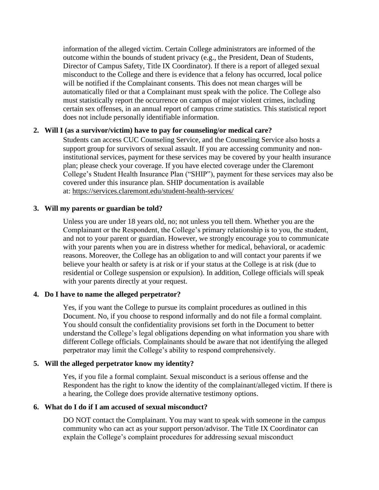information of the alleged victim. Certain College administrators are informed of the outcome within the bounds of student privacy (e.g., the President, Dean of Students, Director of Campus Safety, Title IX Coordinator). If there is a report of alleged sexual misconduct to the College and there is evidence that a felony has occurred, local police will be notified if the Complainant consents. This does not mean charges will be automatically filed or that a Complainant must speak with the police. The College also must statistically report the occurrence on campus of major violent crimes, including certain sex offenses, in an annual report of campus crime statistics. This statistical report does not include personally identifiable information.

## **2. Will I (as a survivor/victim) have to pay for counseling/or medical care?**

Students can access CUC Counseling Service, and the Counseling Service also hosts a support group for survivors of sexual assault. If you are accessing community and noninstitutional services, payment for these services may be covered by your health insurance plan; please check your coverage. If you have elected coverage under the Claremont College's Student Health Insurance Plan ("SHIP"), payment for these services may also be covered under this insurance plan. SHIP documentation is available at: <https://services.claremont.edu/student-health-services/>

## **3. Will my parents or guardian be told?**

Unless you are under 18 years old, no; not unless you tell them. Whether you are the Complainant or the Respondent, the College's primary relationship is to you, the student, and not to your parent or guardian. However, we strongly encourage you to communicate with your parents when you are in distress whether for medical, behavioral, or academic reasons. Moreover, the College has an obligation to and will contact your parents if we believe your health or safety is at risk or if your status at the College is at risk (due to residential or College suspension or expulsion). In addition, College officials will speak with your parents directly at your request.

# **4. Do I have to name the alleged perpetrator?**

Yes, if you want the College to pursue its complaint procedures as outlined in this Document. No, if you choose to respond informally and do not file a formal complaint. You should consult the confidentiality provisions set forth in the Document to better understand the College's legal obligations depending on what information you share with different College officials. Complainants should be aware that not identifying the alleged perpetrator may limit the College's ability to respond comprehensively.

# **5. Will the alleged perpetrator know my identity?**

Yes, if you file a formal complaint. Sexual misconduct is a serious offense and the Respondent has the right to know the identity of the complainant/alleged victim. If there is a hearing, the College does provide alternative testimony options.

# **6. What do I do if I am accused of sexual misconduct?**

DO NOT contact the Complainant. You may want to speak with someone in the campus community who can act as your support person/advisor. The Title IX Coordinator can explain the College's complaint procedures for addressing sexual misconduct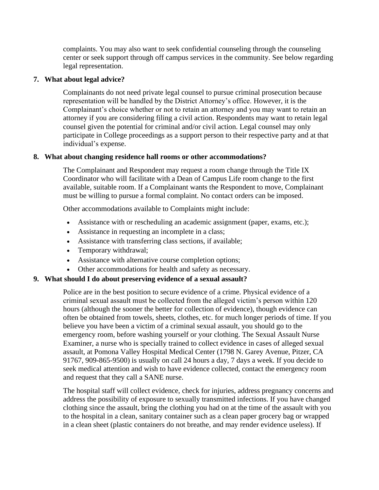complaints. You may also want to seek confidential counseling through the counseling center or seek support through off campus services in the community. See below regarding legal representation.

## **7. What about legal advice?**

Complainants do not need private legal counsel to pursue criminal prosecution because representation will be handled by the District Attorney's office. However, it is the Complainant's choice whether or not to retain an attorney and you may want to retain an attorney if you are considering filing a civil action. Respondents may want to retain legal counsel given the potential for criminal and/or civil action. Legal counsel may only participate in College proceedings as a support person to their respective party and at that individual's expense.

# **8. What about changing residence hall rooms or other accommodations?**

The Complainant and Respondent may request a room change through the Title IX Coordinator who will facilitate with a Dean of Campus Life room change to the first available, suitable room. If a Complainant wants the Respondent to move, Complainant must be willing to pursue a formal complaint. No contact orders can be imposed.

Other accommodations available to Complaints might include:

- Assistance with or rescheduling an academic assignment (paper, exams, etc.);
- Assistance in requesting an incomplete in a class;
- Assistance with transferring class sections, if available;
- Temporary withdrawal;
- Assistance with alternative course completion options;
- Other accommodations for health and safety as necessary.

# **9. What should I do about preserving evidence of a sexual assault?**

Police are in the best position to secure evidence of a crime. Physical evidence of a criminal sexual assault must be collected from the alleged victim's person within 120 hours (although the sooner the better for collection of evidence), though evidence can often be obtained from towels, sheets, clothes, etc. for much longer periods of time. If you believe you have been a victim of a criminal sexual assault, you should go to the emergency room, before washing yourself or your clothing. The Sexual Assault Nurse Examiner, a nurse who is specially trained to collect evidence in cases of alleged sexual assault, at Pomona Valley Hospital Medical Center (1798 N. Garey Avenue, Pitzer, CA 91767, 909-865-9500) is usually on call 24 hours a day, 7 days a week. If you decide to seek medical attention and wish to have evidence collected, contact the emergency room and request that they call a SANE nurse.

The hospital staff will collect evidence, check for injuries, address pregnancy concerns and address the possibility of exposure to sexually transmitted infections. If you have changed clothing since the assault, bring the clothing you had on at the time of the assault with you to the hospital in a clean, sanitary container such as a clean paper grocery bag or wrapped in a clean sheet (plastic containers do not breathe, and may render evidence useless). If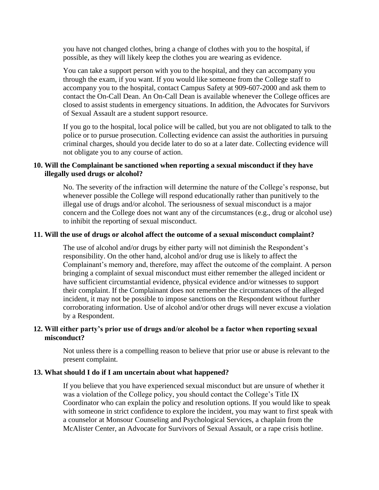you have not changed clothes, bring a change of clothes with you to the hospital, if possible, as they will likely keep the clothes you are wearing as evidence.

You can take a support person with you to the hospital, and they can accompany you through the exam, if you want. If you would like someone from the College staff to accompany you to the hospital, contact Campus Safety at 909-607-2000 and ask them to contact the On-Call Dean. An On-Call Dean is available whenever the College offices are closed to assist students in emergency situations. In addition, the Advocates for Survivors of Sexual Assault are a student support resource.

If you go to the hospital, local police will be called, but you are not obligated to talk to the police or to pursue prosecution. Collecting evidence can assist the authorities in pursuing criminal charges, should you decide later to do so at a later date. Collecting evidence will not obligate you to any course of action.

## **10. Will the Complainant be sanctioned when reporting a sexual misconduct if they have illegally used drugs or alcohol?**

No. The severity of the infraction will determine the nature of the College's response, but whenever possible the College will respond educationally rather than punitively to the illegal use of drugs and/or alcohol. The seriousness of sexual misconduct is a major concern and the College does not want any of the circumstances (e.g., drug or alcohol use) to inhibit the reporting of sexual misconduct.

## **11. Will the use of drugs or alcohol affect the outcome of a sexual misconduct complaint?**

The use of alcohol and/or drugs by either party will not diminish the Respondent's responsibility. On the other hand, alcohol and/or drug use is likely to affect the Complainant's memory and, therefore, may affect the outcome of the complaint. A person bringing a complaint of sexual misconduct must either remember the alleged incident or have sufficient circumstantial evidence, physical evidence and/or witnesses to support their complaint. If the Complainant does not remember the circumstances of the alleged incident, it may not be possible to impose sanctions on the Respondent without further corroborating information. Use of alcohol and/or other drugs will never excuse a violation by a Respondent.

## **12. Will either party's prior use of drugs and/or alcohol be a factor when reporting sexual misconduct?**

Not unless there is a compelling reason to believe that prior use or abuse is relevant to the present complaint.

## **13. What should I do if I am uncertain about what happened?**

If you believe that you have experienced sexual misconduct but are unsure of whether it was a violation of the College policy, you should contact the College's Title IX Coordinator who can explain the policy and resolution options. If you would like to speak with someone in strict confidence to explore the incident, you may want to first speak with a counselor at Monsour Counseling and Psychological Services, a chaplain from the McAlister Center, an Advocate for Survivors of Sexual Assault, or a rape crisis hotline.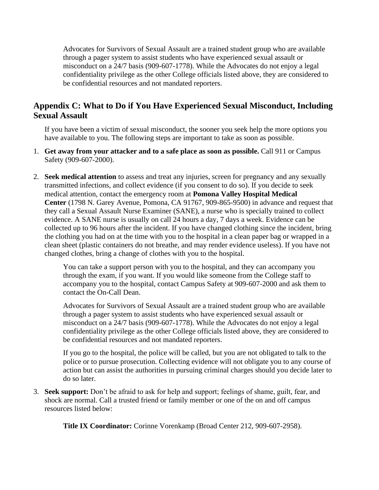Advocates for Survivors of Sexual Assault are a trained student group who are available through a pager system to assist students who have experienced sexual assault or misconduct on a 24/7 basis (909-607-1778). While the Advocates do not enjoy a legal confidentiality privilege as the other College officials listed above, they are considered to be confidential resources and not mandated reporters.

# **Appendix C: What to Do if You Have Experienced Sexual Misconduct, Including Sexual Assault**

If you have been a victim of sexual misconduct, the sooner you seek help the more options you have available to you. The following steps are important to take as soon as possible.

- 1. **Get away from your attacker and to a safe place as soon as possible.** Call 911 or Campus Safety (909-607-2000).
- 2. **Seek medical attention** to assess and treat any injuries, screen for pregnancy and any sexually transmitted infections, and collect evidence (if you consent to do so). If you decide to seek medical attention, contact the emergency room at **Pomona Valley Hospital Medical Center** (1798 N. Garey Avenue, Pomona, CA 91767, 909-865-9500) in advance and request that they call a Sexual Assault Nurse Examiner (SANE), a nurse who is specially trained to collect evidence. A SANE nurse is usually on call 24 hours a day, 7 days a week. Evidence can be collected up to 96 hours after the incident. If you have changed clothing since the incident, bring the clothing you had on at the time with you to the hospital in a clean paper bag or wrapped in a clean sheet (plastic containers do not breathe, and may render evidence useless). If you have not changed clothes, bring a change of clothes with you to the hospital.

You can take a support person with you to the hospital, and they can accompany you through the exam, if you want. If you would like someone from the College staff to accompany you to the hospital, contact Campus Safety at 909-607-2000 and ask them to contact the On-Call Dean.

Advocates for Survivors of Sexual Assault are a trained student group who are available through a pager system to assist students who have experienced sexual assault or misconduct on a 24/7 basis (909-607-1778). While the Advocates do not enjoy a legal confidentiality privilege as the other College officials listed above, they are considered to be confidential resources and not mandated reporters.

If you go to the hospital, the police will be called, but you are not obligated to talk to the police or to pursue prosecution. Collecting evidence will not obligate you to any course of action but can assist the authorities in pursuing criminal charges should you decide later to do so later.

3. **Seek support:** Don't be afraid to ask for help and support; feelings of shame, guilt, fear, and shock are normal. Call a trusted friend or family member or one of the on and off campus resources listed below:

**Title IX Coordinator:** Corinne Vorenkamp (Broad Center 212, 909-607-2958).